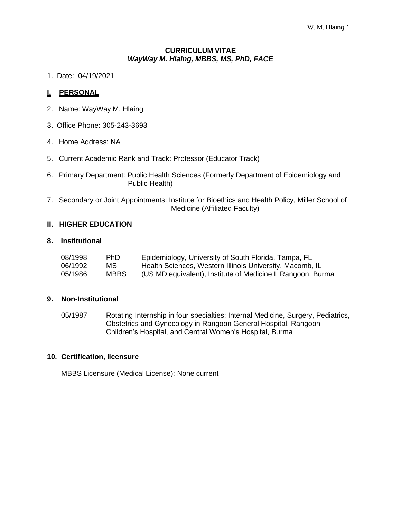#### **CURRICULUM VITAE** *WayWay M. Hlaing, MBBS, MS, PhD, FACE*

1. Date: 04/19/2021

## **I. PERSONAL**

- 2. Name: WayWay M. Hlaing
- 3. Office Phone: 305-243-3693
- 4. Home Address: NA
- 5. Current Academic Rank and Track: Professor (Educator Track)
- 6. Primary Department: Public Health Sciences (Formerly Department of Epidemiology and Public Health)
- 7. Secondary or Joint Appointments: Institute for Bioethics and Health Policy, Miller School of Medicine (Affiliated Faculty)

### **II. HIGHER EDUCATION**

#### **8. Institutional**

| 08/1998 | <b>PhD</b>  | Epidemiology, University of South Florida, Tampa, FL        |
|---------|-------------|-------------------------------------------------------------|
| 06/1992 | MS.         | Health Sciences, Western Illinois University, Macomb, IL    |
| 05/1986 | <b>MBBS</b> | (US MD equivalent), Institute of Medicine I, Rangoon, Burma |

#### **9. Non-Institutional**

05/1987 Rotating Internship in four specialties: Internal Medicine, Surgery, Pediatrics, Obstetrics and Gynecology in Rangoon General Hospital, Rangoon Children's Hospital, and Central Women's Hospital, Burma

#### **10. Certification, licensure**

MBBS Licensure (Medical License): None current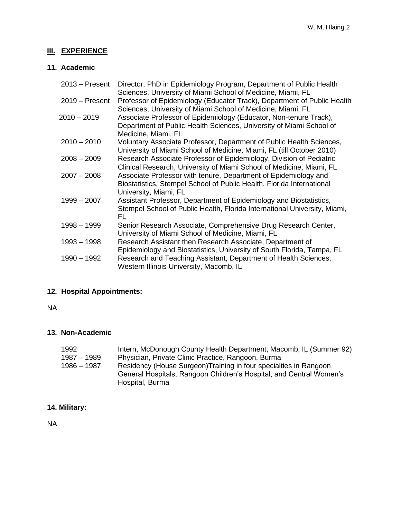# **III. EXPERIENCE**

# **11. Academic**

| $2013 -$ Present | Director, PhD in Epidemiology Program, Department of Public Health<br>Sciences, University of Miami School of Medicine, Miami, FL                                 |
|------------------|-------------------------------------------------------------------------------------------------------------------------------------------------------------------|
| $2019 -$ Present | Professor of Epidemiology (Educator Track), Department of Public Health<br>Sciences, University of Miami School of Medicine, Miami, FL                            |
| 2010 – 2019      | Associate Professor of Epidemiology (Educator, Non-tenure Track),<br>Department of Public Health Sciences, University of Miami School of<br>Medicine, Miami, FL   |
| $2010 - 2010$    | Voluntary Associate Professor, Department of Public Health Sciences,<br>University of Miami School of Medicine, Miami, FL (till October 2010)                     |
| $2008 - 2009$    | Research Associate Professor of Epidemiology, Division of Pediatric<br>Clinical Research, University of Miami School of Medicine, Miami, FL                       |
| $2007 - 2008$    | Associate Professor with tenure, Department of Epidemiology and<br>Biostatistics, Stempel School of Public Health, Florida International<br>University, Miami, FL |
| $1999 - 2007$    | Assistant Professor, Department of Epidemiology and Biostatistics,<br>Stempel School of Public Health, Florida International University, Miami,<br>FL             |
| $1998 - 1999$    | Senior Research Associate, Comprehensive Drug Research Center,<br>University of Miami School of Medicine, Miami, FL                                               |
| $1993 - 1998$    | Research Assistant then Research Associate, Department of<br>Epidemiology and Biostatistics, University of South Florida, Tampa, FL                               |
| $1990 - 1992$    | Research and Teaching Assistant, Department of Health Sciences,<br>Western Illinois University, Macomb, IL                                                        |

# **12. Hospital Appointments:**

NA

# **13. Non-Academic**

| 1992        | Intern, McDonough County Health Department, Macomb, IL (Summer 92)  |
|-------------|---------------------------------------------------------------------|
| 1987 – 1989 | Physician, Private Clinic Practice, Rangoon, Burma                  |
| 1986 - 1987 | Residency (House Surgeon) Training in four specialties in Rangoon   |
|             | General Hospitals, Rangoon Children's Hospital, and Central Women's |
|             | Hospital, Burma                                                     |

# **14. Military:**

NA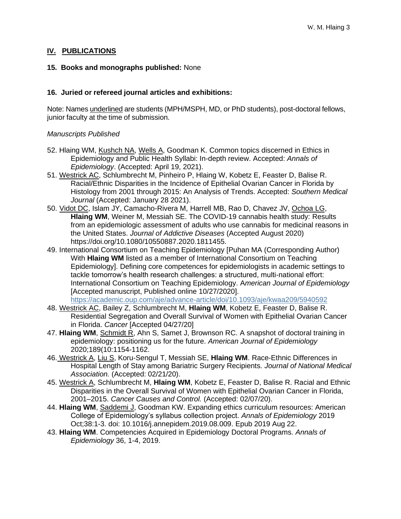# **IV. PUBLICATIONS**

## **15. Books and monographs published:** None

## **16. Juried or refereed journal articles and exhibitions:**

Note: Names underlined are students (MPH/MSPH, MD, or PhD students), post-doctoral fellows, junior faculty at the time of submission.

# *Manuscripts Published*

- 52. Hlaing WM, Kushch NA, Wells A, Goodman K. Common topics discerned in Ethics in Epidemiology and Public Health Syllabi: In-depth review. Accepted: *Annals of Epidemiology*. (Accepted: April 19, 2021).
- 51. Westrick AC, Schlumbrecht M, Pinheiro P, Hlaing W, Kobetz E, Feaster D, Balise R. Racial/Ethnic Disparities in the Incidence of Epithelial Ovarian Cancer in Florida by Histology from 2001 through 2015: An Analysis of Trends. Accepted: *Southern Medical Journal* (Accepted: January 28 2021).
- 50. Vidot DC, Islam JY, Camacho-Rivera M, Harrell MB, Rao D, Chavez JV, Ochoa LG, **Hlaing WM**, Weiner M, Messiah SE. The COVID-19 cannabis health study: Results from an epidemiologic assessment of adults who use cannabis for medicinal reasons in the United States. *Journal of Addictive Diseases* (Accepted August 2020) https://doi.org/10.1080/10550887.2020.1811455.
- 49. International Consortium on Teaching Epidemiology [Puhan MA (Corresponding Author) With **Hlaing WM** listed as a member of International Consortium on Teaching Epidemiology]. Defining core competences for epidemiologists in academic settings to tackle tomorrow's health research challenges: a structured, multi-national effort: International Consortium on Teaching Epidemiology. A*merican Journal of Epidemiology* [Accepted manuscript, Published online 10/27/2020].
- <https://academic.oup.com/aje/advance-article/doi/10.1093/aje/kwaa209/5940592> 48. Westrick AC, Bailey Z, Schlumbrecht M, **Hlaing WM**, Kobetz E, Feaster D, Balise R.
- Residential Segregation and Overall Survival of Women with Epithelial Ovarian Cancer in Florida. *Cancer* [Accepted 04/27/20]
- 47. **Hlaing WM**, Schmidt R, Ahn S, Samet J, Brownson RC. A snapshot of doctoral training in epidemiology: positioning us for the future. *American Journal of Epidemiology* 2020;189(10:1154-1162.
- 46. Westrick A, Liu S, Koru-Sengul T, Messiah SE, **Hlaing WM**. Race-Ethnic Differences in Hospital Length of Stay among Bariatric Surgery Recipients*. Journal of National Medical Association.* (Accepted: 02/21/20).
- 45. Westrick A, Schlumbrecht M, **Hlaing WM**, Kobetz E, Feaster D, Balise R. Racial and Ethnic Disparities in the Overall Survival of Women with Epithelial Ovarian Cancer in Florida, 2001–2015. *Cancer Causes and Control.* (Accepted: 02/07/20).
- 44. **Hlaing WM**, Saddemi J, Goodman KW. Expanding ethics curriculum resources: American College of Epidemiology's syllabus collection project. *Annals of Epidemiology* 2019 Oct;38:1-3. doi: 10.1016/j.annepidem.2019.08.009. Epub 2019 Aug 22.
- 43. **Hlaing WM**. Competencies Acquired in Epidemiology Doctoral Programs. *Annals of Epidemiology* 36, 1-4, 2019.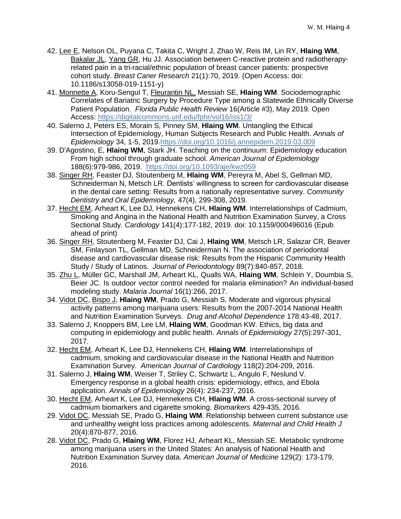- 42. Lee E, Nelson OL, Puyana C, Takita C, Wright J, Zhao W, Reis IM, Lin RY, **Hlaing WM**, Bakalar JL, Yang GR, Hu JJ. Association between C-reactive protein and radiotherapyrelated pain in a tri-racial/ethnic population of breast cancer patients: prospective cohort study. *Breast Caner Research* 21(1):70, 2019. (Open Access: doi: 10.1186/s13058-019-1151-y)
- 41. Monnette A, Koru-Sengul T, Fleurantin NL, Messiah SE, **Hlaing WM**. Sociodemographic Correlates of Bariatric Surgery by Procedure Type among a Statewide Ethnically Diverse Patient Population. *Florida Public Health Review* 16(Article #3), May 2019*.* Open Access: <https://digitalcommons.unf.edu/fphr/vol16/iss1/3/>
- 40. Salerno J, Peters ES, Morain S, Pinney SM, **Hlaing WM**. Untangling the Ethical Intersection of Epidemiology, Human Subjects Research and Public Health. *Annals of Epidemiology* 34, 1-5, 201[9.https://doi.org/10.1016/j.annepidem.2019.03.009](https://doi.org/10.1016/j.annepidem.2019.03.009)
- 39. D'Agostino, E, **Hlaing WM**, Stark JH. Teaching on the continuum: Epidemiology education From high school through graduate school. *American Journal of Epidemiology* 188(6):979-986, 2019. <https://doi.org/10.1093/aje/kwz059>
- 38. Singer RH, Feaster DJ, Stoutenberg M, **Hlaing WM**, Pereyra M, Abel S, Gellman MD, Schneiderman N, Metsch LR. Dentists' willingness to screen for cardiovascular disease in the dental care setting: Results from a nationally representative survey. *Community Dentistry and Oral Epidemiology,* 47(4), 299-308, 2019.
- 37. Hecht EM, Arheart K, Lee DJ, Hennekens CH, **Hlaing WM**. Interrelationships of Cadmium, Smoking and Angina in the National Health and Nutrition Examination Survey, a Cross Sectional Study. *Cardiology* 141(4):177-182, 2019. doi: 10.1159/000496016 (Epub ahead of print)
- 36. Singer RH, Stoutenberg M, Feaster DJ, Cai J, **Hlaing WM**, Metsch LR, Salazar CR, Beaver SM, Finlayson TL, Gellman MD, Schneiderman N. The association of periodontal disease and cardiovascular disease risk: Results from the Hispanic Community Health Study / Study of Latinos. *Journal of Periodontology* 89(7):840-857, 2018.
- 35. Zhu L, Müller GC, Marshall JM, Arheart KL, Qualls WA, **Hlaing WM**, Schlein Y, Doumbia S, Beier JC. Is outdoor vector control needed for malaria elimination? An individual-based modeling study. *Malaria Journal* 16(1):266, 2017.
- 34. Vidot DC, Bispo J, **Hlaing WM**, Prado G, Messiah S. Moderate and vigorous physical activity patterns among marijuana users: Results from the 2007-2014 National Health and Nutrition Examination Surveys. *Drug and Alcohol Dependence* 178:43-48, 2017.
- 33. Salerno J, Knoppers BM, Lee LM, **Hlaing WM**, Goodman KW. Ethics, big data and computing in epidemiology and public health. *Annals of Epidemiology* 27(5):297-301, 2017.
- 32. Hecht EM, Arheart K, Lee DJ, Hennekens CH, **Hlaing WM**. Interrelationships of cadmium, smoking and cardiovascular disease in the National Health and Nutrition Examination Survey. *American Journal of Cardiology* 118(2):204-209, 2016.
- 31. Salerno J, **Hlaing WM**, Weiser T, Striley C, Schwartz L, Angulo F, Neslund V. Emergency response in a global health crisis: epidemiology, ethics, and Ebola application. *Annals of Epidemiology* 26(4): 234-237, 2016.
- 30. Hecht EM, Arheart K, Lee DJ, Hennekens CH, **Hlaing WM**. A cross-sectional survey of cadmium biomarkers and cigarette smoking. *Biomarkers* 429-435, 2016.
- 29. Vidot DC, Messiah SE, Prado G, **Hlaing WM**. Relationship between current substance use and unhealthy weight loss practices among adolescents. *[Maternal and Child Health J](http://www.ncbi.nlm.nih.gov/pubmed/26649881)* 20(4):870-877, 2016.
- 28. [Vidot DC,](http://www.ncbi.nlm.nih.gov/pubmed/?term=Vidot%20DC%5BAuthor%5D&cauthor=true&cauthor_uid=26548604) [Prado G,](http://www.ncbi.nlm.nih.gov/pubmed/?term=Prado%20G%5BAuthor%5D&cauthor=true&cauthor_uid=26548604) **[Hlaing WM](http://www.ncbi.nlm.nih.gov/pubmed/?term=Hlaing%20WM%5BAuthor%5D&cauthor=true&cauthor_uid=26548604)**, [Florez HJ,](http://www.ncbi.nlm.nih.gov/pubmed/?term=Florez%20HJ%5BAuthor%5D&cauthor=true&cauthor_uid=26548604) [Arheart KL,](http://www.ncbi.nlm.nih.gov/pubmed/?term=Arheart%20KL%5BAuthor%5D&cauthor=true&cauthor_uid=26548604) [Messiah SE.](http://www.ncbi.nlm.nih.gov/pubmed/?term=Messiah%20SE%5BAuthor%5D&cauthor=true&cauthor_uid=26548604) Metabolic syndrome among marijuana users in the United States: An analysis of National Health and Nutrition Examination Survey data. *[American Journal of Medic](http://www.ncbi.nlm.nih.gov/pubmed/26548604)ine* 129(2): 173-179, 2016.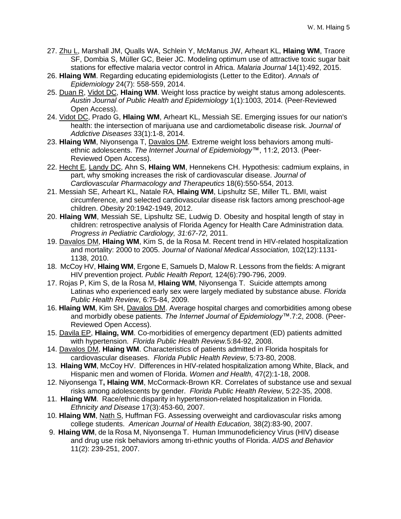- 27. [Zhu L,](http://www.ncbi.nlm.nih.gov/pubmed/?term=Zhu%20L%5BAuthor%5D&cauthor=true&cauthor_uid=26643110) [Marshall JM,](http://www.ncbi.nlm.nih.gov/pubmed/?term=Marshall%20JM%5BAuthor%5D&cauthor=true&cauthor_uid=26643110) [Qualls WA,](http://www.ncbi.nlm.nih.gov/pubmed/?term=Qualls%20WA%5BAuthor%5D&cauthor=true&cauthor_uid=26643110) [Schlein Y,](http://www.ncbi.nlm.nih.gov/pubmed/?term=Schlein%20Y%5BAuthor%5D&cauthor=true&cauthor_uid=26643110) [McManus JW,](http://www.ncbi.nlm.nih.gov/pubmed/?term=McManus%20JW%5BAuthor%5D&cauthor=true&cauthor_uid=26643110) [Arheart KL,](http://www.ncbi.nlm.nih.gov/pubmed/?term=Arheart%20KL%5BAuthor%5D&cauthor=true&cauthor_uid=26643110) **[Hlaing WM](http://www.ncbi.nlm.nih.gov/pubmed/?term=Hlaing%20WM%5BAuthor%5D&cauthor=true&cauthor_uid=26643110)**, Traore SF, [Dombia S,](http://www.ncbi.nlm.nih.gov/pubmed/?term=Doumbia%20S%5BAuthor%5D&cauthor=true&cauthor_uid=26643110) [Müller GC,](http://www.ncbi.nlm.nih.gov/pubmed/?term=M%C3%BCller%20GC%5BAuthor%5D&cauthor=true&cauthor_uid=26643110) [Beier JC.](http://www.ncbi.nlm.nih.gov/pubmed/?term=Beier%20JC%5BAuthor%5D&cauthor=true&cauthor_uid=26643110) Modeling optimum use of attractive toxic sugar bait stations for effective malaria vector control in Africa. *Malaria [Journal](http://www.ncbi.nlm.nih.gov/pubmed/26643110)* 14(1):492, 2015.
- 26. **Hlaing WM**. Regarding educating epidemiologists (Letter to the Editor). *Annals of Epidemiology* 24(7): 558-559, 2014.
- 25. Duan R, Vidot DC, **Hlaing WM**. Weight loss practice by weight status among adolescents. *Austin Journal of Public Health and Epidemiology* 1(1):1003, 2014. (Peer-Reviewed Open Access).
- 24. [Vidot DC,](http://www.ncbi.nlm.nih.gov/pubmed/?term=Vidot%20DC%5BAuthor%5D&cauthor=true&cauthor_uid=24471513) [Prado G,](http://www.ncbi.nlm.nih.gov/pubmed/?term=Prado%20G%5BAuthor%5D&cauthor=true&cauthor_uid=24471513) **[Hlaing WM](http://www.ncbi.nlm.nih.gov/pubmed/?term=Hlaing%20WM%5BAuthor%5D&cauthor=true&cauthor_uid=24471513)**, [Arheart KL,](http://www.ncbi.nlm.nih.gov/pubmed/?term=Arheart%20KL%5BAuthor%5D&cauthor=true&cauthor_uid=24471513) [Messiah SE.](http://www.ncbi.nlm.nih.gov/pubmed/?term=Messiah%20SE%5BAuthor%5D&cauthor=true&cauthor_uid=24471513) Emerging issues for our nation's health: the intersection of marijuana use and cardiometabolic disease risk. *[Journal of](http://www.ncbi.nlm.nih.gov/pubmed/24471513) Addictive [Diseases](http://www.ncbi.nlm.nih.gov/pubmed/24471513)* 33(1):1-8, 2014.
- 23. **Hlaing WM**, Niyonsenga T, Davalos DM. Extreme weight loss behaviors among multiethnic adolescents. *The Internet Journal of Epidemiology*™, 11:2, 2013. (Peer-Reviewed Open Access).
- 22. Hecht E, Landy DC, Ahn S, **Hlaing WM**, Hennekens CH. Hypothesis: cadmium explains, in part, why smoking increases the risk of cardiovascular disease. *Journal of Cardiovascular Pharmacology and Therapeutics* 18(6):550-554, 2013.
- 21. Messiah SE, Arheart KL, Natale RA, **Hlaing WM**, Lipshultz SE, Miller TL. BMI, waist circumference, and selected cardiovascular disease risk factors among preschool-age children. *Obesity* 20:1942-1949, 2012.
- 20. **Hlaing WM**, Messiah SE, Lipshultz SE, Ludwig D. Obesity and hospital length of stay in children: retrospective analysis of Florida Agency for Health Care Administration data. *Progress in Pediatric Cardiology, 31:67-72,* 2011.
- 19. Davalos DM, **Hlaing WM**, Kim S, de la Rosa M. Recent trend in HIV-related hospitalization and mortality: 2000 to 2005. *Journal of National Medical Association,* 102(12):1131- 1138, 2010.
- 18. McCoy HV, **Hlaing WM**, Ergone E, Samuels D, Malow R. Lessons from the fields: A migrant HIV prevention project. *Public Health Report,* 124(6):790-796, 2009.
- 17. Rojas P, Kim S, de la Rosa M, **Hlaing WM**, Niyonsenga T. Suicide attempts among Latinas who experienced early sex were largely mediated by substance abuse. *Florida Public Health Review*, 6:75-84, 2009.
- 16. **Hlaing WM**, Kim SH, Davalos DM. Average hospital charges and comorbidities among obese and morbidly obese patients. *The Internet Journal of Epidemiology™*.7:2, 2008. (Peer-Reviewed Open Access).
- 15. Davila EP, **Hlaing, WM**. Co-morbidities of emergency department (ED) patients admitted with hypertension. *Florida Public Health Review.*5:84-92, 2008.
- 14. Davalos DM, **Hlaing WM**. Characteristics of patients admitted in Florida hospitals for cardiovascular diseases. *Florida Public Health Review*, 5:73-80, 2008.
- 13. **Hlaing WM**, McCoy HV. Differences in HIV-related hospitalization among White, Black, and Hispanic men and women of Florida. *Women and Health,* 47(2):1-18, 2008.
- 12. Niyonsenga T**, Hlaing WM**, McCormack-Brown KR. Correlates of substance use and sexual risks among adolescents by gender. *Florida Public Health Review*, 5:22-35, 2008.
- 11. **Hlaing WM**. Race/ethnic disparity in hypertension-related hospitalization in Florida. *Ethnicity and Disease* 17(3):453-60, 2007.
- 10. **Hlaing WM**, Nath S, Huffman FG. Assessing overweight and cardiovascular risks among college students. *American Journal of Health Education,* 38(2):83-90, 2007.
- 9. **Hlaing WM**, de la Rosa M, Niyonsenga T. Human Immunodeficiency Virus (HIV) disease and drug use risk behaviors among tri-ethnic youths of Florida. *AIDS and Behavior* 11(2): 239-251, 2007.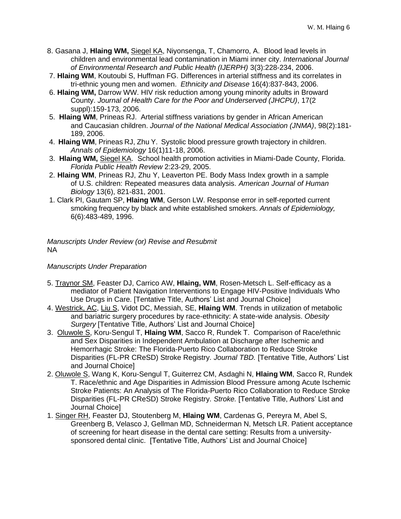- 8. Gasana J, **Hlaing WM,** Siegel KA, Niyonsenga, T, Chamorro, A. Blood lead levels in children and environmental lead contamination in Miami inner city. *International Journal of Environmental Research and Public Health (IJERPH)* 3(3):228-234, 2006.
- 7. **Hlaing WM**, Koutoubi S, Huffman FG. Differences in arterial stiffness and its correlates in tri-ethnic young men and women. *Ethnicity and Disease* 16(4):837-843, 2006.
- 6. **Hlaing WM,** Darrow WW. HIV risk reduction among young minority adults in Broward County. *Journal of Health Care for the Poor and Underserved (JHCPU)*, 17(2 suppl):159-173, 2006.
- 5. **Hlaing WM**, Prineas RJ. Arterial stiffness variations by gender in African American and Caucasian children. *Journal of the National Medical Association (JNMA)*, 98(2):181- 189, 2006.
- 4. **Hlaing WM**, Prineas RJ, Zhu Y. Systolic blood pressure growth trajectory in children. *Annals of Epidemiology* 16(1)11-18, 2006.
- 3. **Hlaing WM,** Siegel KA. School health promotion activities in Miami-Dade County, Florida. *Florida Public Health Review* 2:23-29, 2005.
- 2. **Hlaing WM**, Prineas RJ, Zhu Y, Leaverton PE. Body Mass Index growth in a sample of U.S. children: Repeated measures data analysis. *American Journal of Human Biology* 13(6), 821-831, 2001.
- 1. Clark PI, Gautam SP, **Hlaing WM**, Gerson LW. Response error in self-reported current smoking frequency by black and white established smokers. *Annals of Epidemiology,* 6(6):483-489, 1996.

*Manuscripts Under Review (or) Revise and Resubmit* NA

# *Manuscripts Under Preparation*

- 5. Traynor SM, Feaster DJ, Carrico AW, **Hlaing, WM**, Rosen-Metsch L. Self-efficacy as a mediator of Patient Navigation Interventions to Engage HIV-Positive Individuals Who Use Drugs in Care. [Tentative Title, Authors' List and Journal Choice]
- 4. Westrick, AC, Liu S, Vidot DC, Messiah, SE, **Hlaing WM**. Trends in utilization of metabolic and bariatric surgery procedures by race-ethnicity: A state-wide analysis. *Obesity Surgery* [Tentative Title, Authors' List and Journal Choice]
- 3. Oluwole S, Koru-Sengul T, **Hlaing WM**, Sacco R, Rundek T. Comparison of Race/ethnic and Sex Disparities in Independent Ambulation at Discharge after Ischemic and Hemorrhagic Stroke: The Florida-Puerto Rico Collaboration to Reduce Stroke Disparities (FL-PR CReSD) Stroke Registry. *Journal TBD.* [Tentative Title, Authors' List and Journal Choice]
- 2. Oluwole S, Wang K, Koru-Sengul T, Guiterrez CM, Asdaghi N, **Hlaing WM**, Sacco R, Rundek T. Race/ethnic and Age Disparities in Admission Blood Pressure among Acute Ischemic Stroke Patients: An Analysis of The Florida-Puerto Rico Collaboration to Reduce Stroke Disparities (FL-PR CReSD) Stroke Registry. *Stroke.* [Tentative Title, Authors' List and Journal Choice]
- 1. Singer RH, Feaster DJ, Stoutenberg M, **Hlaing WM**, Cardenas G, Pereyra M, Abel S, Greenberg B, Velasco J, Gellman MD, Schneiderman N, Metsch LR. Patient acceptance of screening for heart disease in the dental care setting: Results from a universitysponsored dental clinic. [Tentative Title, Authors' List and Journal Choice]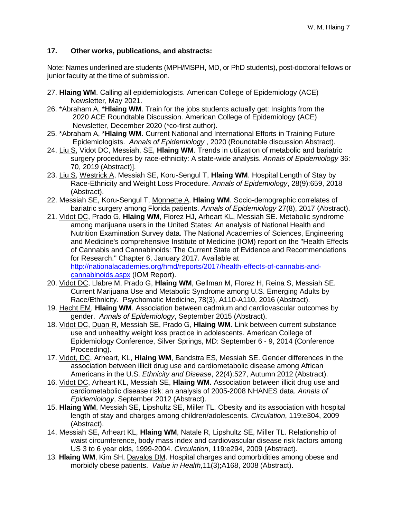# **17. Other works, publications, and abstracts:**

Note: Names underlined are students (MPH/MSPH, MD, or PhD students), post-doctoral fellows or junior faculty at the time of submission.

- 27. **Hlaing WM**. Calling all epidemiologists. American College of Epidemiology (ACE) Newsletter, May 2021.
- 26. \*Abraham A, \***Hlaing WM**. Train for the jobs students actually get: Insights from the 2020 ACE Roundtable Discussion. American College of Epidemiology (ACE) Newsletter, December 2020 (\*co-first author).
- 25. \*Abraham A, \***Hlaing WM**. Current National and International Efforts in Training Future Epidemiologists. *Annals of Epidemiology* , 2020 (Roundtable discussion Abstract).
- 24. Liu S, Vidot DC, Messiah, SE, **Hlaing WM**. Trends in utilization of metabolic and bariatric surgery procedures by race-ethnicity: A state-wide analysis. *Annals of Epidemiology* 36: 70, 2019 (Abstract)].
- 23. Liu S, Westrick A, Messiah SE, Koru-Sengul T, **Hlaing WM**. Hospital Length of Stay by Race-Ethnicity and Weight Loss Procedure. *Annals of Epidemiology*, 28(9):659, 2018 (Abstract).
- 22. Messiah SE, Koru-Sengul T, Monnette A, **Hlaing WM**. Socio-demographic correlates of bariatric surgery among Florida patients. *Annals of Epidemiology* 27(8), 2017 (Abstract).
- 21. [Vidot DC,](http://www.ncbi.nlm.nih.gov/pubmed/?term=Vidot%20DC%5BAuthor%5D&cauthor=true&cauthor_uid=26548604) [Prado G,](http://www.ncbi.nlm.nih.gov/pubmed/?term=Prado%20G%5BAuthor%5D&cauthor=true&cauthor_uid=26548604) **[Hlaing WM](http://www.ncbi.nlm.nih.gov/pubmed/?term=Hlaing%20WM%5BAuthor%5D&cauthor=true&cauthor_uid=26548604)**, [Florez HJ,](http://www.ncbi.nlm.nih.gov/pubmed/?term=Florez%20HJ%5BAuthor%5D&cauthor=true&cauthor_uid=26548604) [Arheart KL,](http://www.ncbi.nlm.nih.gov/pubmed/?term=Arheart%20KL%5BAuthor%5D&cauthor=true&cauthor_uid=26548604) [Messiah SE.](http://www.ncbi.nlm.nih.gov/pubmed/?term=Messiah%20SE%5BAuthor%5D&cauthor=true&cauthor_uid=26548604) Metabolic syndrome among marijuana users in the United States: An analysis of National Health and Nutrition Examination Survey data. The National Academies of Sciences, Engineering and Medicine's comprehensive Institute of Medicine (IOM) report on the "Health Effects of Cannabis and Cannabinoids: The Current State of Evidence and Recommendations for Research." Chapter 6, January 2017. Available at [http://nationalacademies.org/hmd/reports/2017/health-effects-of-cannabis-and-](http://nationalacademies.org/hmd/reports/2017/health-effects-of-cannabis-and-cannabinoids.aspx)

[cannabinoids.aspx](http://nationalacademies.org/hmd/reports/2017/health-effects-of-cannabis-and-cannabinoids.aspx) (IOM Report).

- 20. Vidot DC, Llabre M, Prado G, **Hlaing WM**, Gellman M, Florez H, Reina S, Messiah SE. Current Marijuana Use and Metabolic Syndrome among U.S. Emerging Adults by Race/Ethnicity. Psychomatic Medicine, 78(3), A110-A110, 2016 (Abstract).
- 19. Hecht EM, **Hlaing WM**. Association between cadmium and cardiovascular outcomes by gender. *Annals of Epidemiology*, September 2015 (Abstract).
- 18. Vidot DC, Duan R, Messiah SE, Prado G, **Hlaing WM**. Link between current substance use and unhealthy weight loss practice in adolescents. American College of Epidemiology Conference, Silver Springs, MD: September 6 - 9, 2014 (Conference Proceeding).
- 17. Vidot, DC, Arheart, KL, **Hlaing WM**, Bandstra ES, Messiah SE. Gender differences in the association between illicit drug use and cardiometabolic disease among African Americans in the U.S. *Ethnicity and Disease*, 22(4):527, Autumn 2012 (Abstract).
- 16. Vidot DC, Arheart KL, Messiah SE, **Hlaing WM.** Association between illicit drug use and cardiometabolic disease risk: an analysis of 2005-2008 NHANES data. *Annals of Epidemiology*, September 2012 (Abstract).
- 15. **Hlaing WM**, Messiah SE, Lipshultz SE, Miller TL. Obesity and its association with hospital length of stay and charges among children/adolescents. *Circulation*, 119:e304, 2009 (Abstract).
- 14. Messiah SE, Arheart KL, **Hlaing WM**, Natale R, Lipshultz SE, Miller TL. Relationship of waist circumference, body mass index and cardiovascular disease risk factors among US 3 to 6 year olds, 1999-2004. *Circulation*, 119:e294, 2009 (Abstract).
- 13. **Hlaing WM**, Kim SH, Davalos DM. Hospital charges and comorbidities among obese and morbidly obese patients. *Value in Health,*11(3);A168, 2008 (Abstract).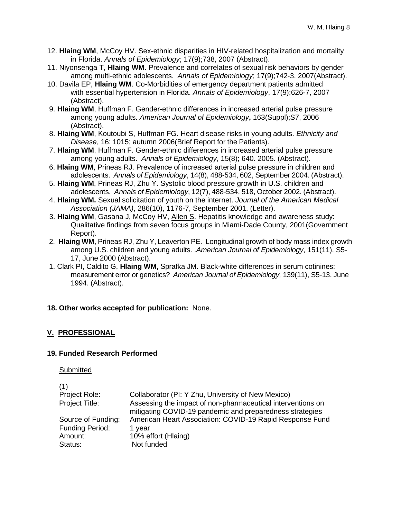- 12. **Hlaing WM**, McCoy HV. Sex-ethnic disparities in HIV-related hospitalization and mortality in Florida. *Annals of Epidemiology*; 17(9);738, 2007 (Abstract).
- 11. Niyonsenga T, **Hlaing WM**. Prevalence and correlates of sexual risk behaviors by gender among multi-ethnic adolescents. *Annals of Epidemiology*; 17(9);742-3, 2007(Abstract).
- 10. Davila EP, **Hlaing WM**. Co-Morbidities of emergency department patients admitted with essential hypertension in Florida. *Annals of Epidemiology*, 17(9);626-7, 2007 (Abstract).
- 9. **Hlaing WM**, Huffman F. Gender-ethnic differences in increased arterial pulse pressure among young adults. *American Journal of Epidemiology***,** 163(Suppl);S7, 2006 (Abstract).
- 8. **Hlaing WM**, Koutoubi S, Huffman FG. Heart disease risks in young adults. *Ethnicity and Disease*, 16: 1015; autumn 2006(Brief Report for the Patients).
- 7. **Hlaing WM**, Huffman F. Gender-ethnic differences in increased arterial pulse pressure among young adults. *Annals of Epidemiology*, 15(8); 640. 2005. (Abstract).
- 6. **Hlaing WM**, Prineas RJ. Prevalence of increased arterial pulse pressure in children and adolescents. *Annals of Epidemiology*, 14(8), 488-534, 602, September 2004. (Abstract).
- 5. **Hlaing WM**, Prineas RJ, Zhu Y. Systolic blood pressure growth in U.S. children and adolescents. *Annals of Epidemiology*, 12(7), 488-534, 518, October 2002. (Abstract).
- 4. **Hlaing WM.** Sexual solicitation of youth on the internet. *Journal of the American Medical Association (JAMA)*, 286(10), 1176-7, September 2001. (Letter).
- 3. **Hlaing WM**, Gasana J, McCoy HV, Allen S. Hepatitis knowledge and awareness study: Qualitative findings from seven focus groups in Miami-Dade County, 2001(Government Report).
- 2. **Hlaing WM**, Prineas RJ, Zhu Y, Leaverton PE. Longitudinal growth of body mass index growth among U.S. children and young adults. .*American Journal of Epidemiology*, 151(11), S5- 17, June 2000 (Abstract).
- 1. Clark PI, Caldito G, **Hlaing WM,** Sprafka JM. Black-white differences in serum cotinines: measurement error or genetics? *American Journal of Epidemiology,* 139(11), S5-13, June 1994. (Abstract).

# **18. Other works accepted for publication:** None.

# **V. PROFESSIONAL**

### **19. Funded Research Performed**

Submitted

| (1)                |                                                                                                                         |
|--------------------|-------------------------------------------------------------------------------------------------------------------------|
| Project Role:      | Collaborator (PI: Y Zhu, University of New Mexico)                                                                      |
| Project Title:     | Assessing the impact of non-pharmaceutical interventions on<br>mitigating COVID-19 pandemic and preparedness strategies |
| Source of Funding: | American Heart Association: COVID-19 Rapid Response Fund                                                                |
| Funding Period:    | 1 vear                                                                                                                  |
| Amount:            | 10% effort (Hlaing)                                                                                                     |
| Status:            | Not funded                                                                                                              |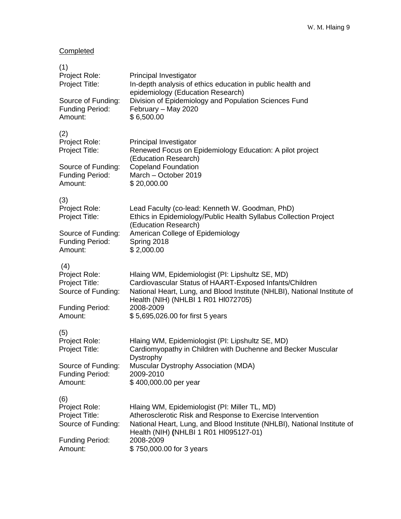# **Completed**

| (1)<br>Project Role:<br>Project Title:                       | Principal Investigator<br>In-depth analysis of ethics education in public health and                                                                                                                                              |
|--------------------------------------------------------------|-----------------------------------------------------------------------------------------------------------------------------------------------------------------------------------------------------------------------------------|
| Source of Funding:<br><b>Funding Period:</b><br>Amount:      | epidemiology (Education Research)<br>Division of Epidemiology and Population Sciences Fund<br>February - May 2020<br>\$6,500.00                                                                                                   |
| (2)<br>Project Role:<br>Project Title:                       | Principal Investigator<br>Renewed Focus on Epidemiology Education: A pilot project                                                                                                                                                |
| Source of Funding:<br><b>Funding Period:</b><br>Amount:      | (Education Research)<br><b>Copeland Foundation</b><br>March - October 2019<br>\$20,000.00                                                                                                                                         |
| (3)<br>Project Role:<br>Project Title:                       | Lead Faculty (co-lead: Kenneth W. Goodman, PhD)<br>Ethics in Epidemiology/Public Health Syllabus Collection Project                                                                                                               |
| Source of Funding:<br><b>Funding Period:</b><br>Amount:      | (Education Research)<br>American College of Epidemiology<br>Spring 2018<br>\$2,000.00                                                                                                                                             |
| (4)<br>Project Role:<br>Project Title:<br>Source of Funding: | Hlaing WM, Epidemiologist (PI: Lipshultz SE, MD)<br>Cardiovascular Status of HAART-Exposed Infants/Children<br>National Heart, Lung, and Blood Institute (NHLBI), National Institute of                                           |
| <b>Funding Period:</b><br>Amount:                            | Health (NIH) (NHLBI 1 R01 HI072705)<br>2008-2009<br>\$5,695,026.00 for first 5 years                                                                                                                                              |
| (5)<br>Project Role:<br>Project Title:                       | Hlaing WM, Epidemiologist (PI: Lipshultz SE, MD)<br>Cardiomyopathy in Children with Duchenne and Becker Muscular                                                                                                                  |
| Source of Funding:<br><b>Funding Period:</b><br>Amount:      | Dystrophy<br><b>Muscular Dystrophy Association (MDA)</b><br>2009-2010<br>\$400,000.00 per year                                                                                                                                    |
| (6)<br>Project Role:<br>Project Title:<br>Source of Funding: | Hlaing WM, Epidemiologist (PI: Miller TL, MD)<br>Atherosclerotic Risk and Response to Exercise Intervention<br>National Heart, Lung, and Blood Institute (NHLBI), National Institute of<br>Health (NIH) (NHLBI 1 R01 HI095127-01) |
| <b>Funding Period:</b><br>Amount:                            | 2008-2009<br>\$750,000.00 for 3 years                                                                                                                                                                                             |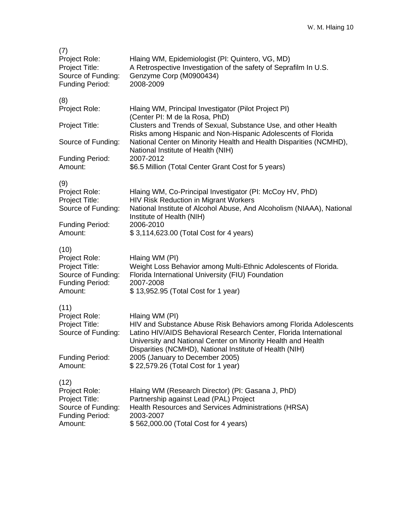| (7)<br>Project Role:<br>Project Title:<br>Source of Funding:<br>Funding Period:                    | Hlaing WM, Epidemiologist (PI: Quintero, VG, MD)<br>A Retrospective Investigation of the safety of Seprafilm In U.S.<br>Genzyme Corp (M0900434)<br>2008-2009                                                                                                                                                          |
|----------------------------------------------------------------------------------------------------|-----------------------------------------------------------------------------------------------------------------------------------------------------------------------------------------------------------------------------------------------------------------------------------------------------------------------|
| (8)<br>Project Role:                                                                               | Hlaing WM, Principal Investigator (Pilot Project PI)                                                                                                                                                                                                                                                                  |
| Project Title:                                                                                     | (Center PI: M de la Rosa, PhD)<br>Clusters and Trends of Sexual, Substance Use, and other Health                                                                                                                                                                                                                      |
| Source of Funding:                                                                                 | Risks among Hispanic and Non-Hispanic Adolescents of Florida<br>National Center on Minority Health and Health Disparities (NCMHD),                                                                                                                                                                                    |
| <b>Funding Period:</b><br>Amount:                                                                  | National Institute of Health (NIH)<br>2007-2012<br>\$6.5 Million (Total Center Grant Cost for 5 years)                                                                                                                                                                                                                |
| (9)<br>Project Role:<br>Project Title:<br>Source of Funding:                                       | Hlaing WM, Co-Principal Investigator (PI: McCoy HV, PhD)<br><b>HIV Risk Reduction in Migrant Workers</b><br>National Institute of Alcohol Abuse, And Alcoholism (NIAAA), National                                                                                                                                     |
| <b>Funding Period:</b><br>Amount:                                                                  | Institute of Health (NIH)<br>2006-2010<br>\$3,114,623.00 (Total Cost for 4 years)                                                                                                                                                                                                                                     |
| (10)<br>Project Role:<br>Project Title:<br>Source of Funding:<br><b>Funding Period:</b><br>Amount: | Hlaing WM (PI)<br>Weight Loss Behavior among Multi-Ethnic Adolescents of Florida.<br>Florida International University (FIU) Foundation<br>2007-2008<br>\$13,952.95 (Total Cost for 1 year)                                                                                                                            |
| (11)<br>Project Role:<br>Project Title:<br>Source of Funding:<br><b>Funding Period:</b>            | Hlaing WM (PI)<br>HIV and Substance Abuse Risk Behaviors among Florida Adolescents<br>Latino HIV/AIDS Behavioral Research Center, Florida International<br>University and National Center on Minority Health and Health<br>Disparities (NCMHD), National Institute of Health (NIH)<br>2005 (January to December 2005) |
| Amount:                                                                                            | \$22,579.26 (Total Cost for 1 year)                                                                                                                                                                                                                                                                                   |
| (12)<br>Project Role:<br>Project Title:<br>Source of Funding:<br><b>Funding Period:</b><br>Amount: | Hlaing WM (Research Director) (PI: Gasana J, PhD)<br>Partnership against Lead (PAL) Project<br>Health Resources and Services Administrations (HRSA)<br>2003-2007<br>\$562,000.00 (Total Cost for 4 years)                                                                                                             |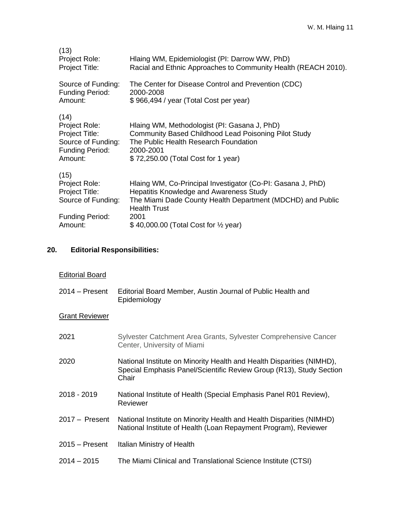| (13)<br>Project Role:<br>Project Title:                                                            | Hlaing WM, Epidemiologist (PI: Darrow WW, PhD)<br>Racial and Ethnic Approaches to Community Health (REACH 2010).                                                                                         |
|----------------------------------------------------------------------------------------------------|----------------------------------------------------------------------------------------------------------------------------------------------------------------------------------------------------------|
| Source of Funding:                                                                                 | The Center for Disease Control and Prevention (CDC)                                                                                                                                                      |
| <b>Funding Period:</b>                                                                             | 2000-2008                                                                                                                                                                                                |
| Amount:                                                                                            | \$966,494 / year (Total Cost per year)                                                                                                                                                                   |
| (14)<br>Project Role:<br>Project Title:<br>Source of Funding:<br><b>Funding Period:</b><br>Amount: | Hlaing WM, Methodologist (PI: Gasana J, PhD)<br><b>Community Based Childhood Lead Poisoning Pilot Study</b><br>The Public Health Research Foundation<br>2000-2001<br>\$72,250.00 (Total Cost for 1 year) |
| (15)                                                                                               | Hlaing WM, Co-Principal Investigator (Co-PI: Gasana J, PhD)                                                                                                                                              |
| Project Role:                                                                                      | Hepatitis Knowledge and Awareness Study                                                                                                                                                                  |
| Project Title:                                                                                     | The Miami Dade County Health Department (MDCHD) and Public                                                                                                                                               |
| Source of Funding:                                                                                 | <b>Health Trust</b>                                                                                                                                                                                      |
| <b>Funding Period:</b>                                                                             | 2001                                                                                                                                                                                                     |
| Amount:                                                                                            | $$40,000.00$ (Total Cost for $\frac{1}{2}$ year)                                                                                                                                                         |

# **20. Editorial Responsibilities:**

| <b>Editorial Board</b> |  |
|------------------------|--|
|                        |  |
|                        |  |

2014 – Present Editorial Board Member, Austin Journal of Public Health and Epidemiology

# Grant Reviewer

| 2021             | Sylvester Catchment Area Grants, Sylvester Comprehensive Cancer<br>Center, University of Miami                                                        |
|------------------|-------------------------------------------------------------------------------------------------------------------------------------------------------|
| 2020             | National Institute on Minority Health and Health Disparities (NIMHD),<br>Special Emphasis Panel/Scientific Review Group (R13), Study Section<br>Chair |
| 2018 - 2019      | National Institute of Health (Special Emphasis Panel R01 Review),<br>Reviewer                                                                         |
| $2017 -$ Present | National Institute on Minority Health and Health Disparities (NIMHD)<br>National Institute of Health (Loan Repayment Program), Reviewer               |
| $2015 -$ Present | Italian Ministry of Health                                                                                                                            |
| $2014 - 2015$    | The Miami Clinical and Translational Science Institute (CTSI)                                                                                         |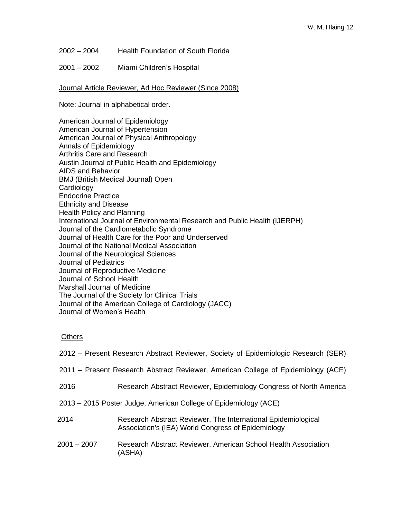- 2002 2004 Health Foundation of South Florida
- 2001 2002 Miami Children's Hospital

Journal Article Reviewer, Ad Hoc Reviewer (Since 2008)

Note: Journal in alphabetical order.

American Journal of Epidemiology American Journal of Hypertension American Journal of Physical Anthropology Annals of Epidemiology Arthritis Care and Research Austin Journal of Public Health and Epidemiology AIDS and Behavior BMJ (British Medical Journal) Open **Cardiology** Endocrine Practice Ethnicity and Disease Health Policy and Planning International Journal of Environmental Research and Public Health (IJERPH) Journal of the Cardiometabolic Syndrome Journal of Health Care for the Poor and Underserved Journal of the National Medical Association Journal of the Neurological Sciences Journal of Pediatrics Journal of Reproductive Medicine Journal of School Health Marshall Journal of Medicine The Journal of the Society for Clinical Trials Journal of the American College of Cardiology (JACC) Journal of Women's Health

#### **Others**

|                                                                  | 2012 – Present Research Abstract Reviewer, Society of Epidemiologic Research (SER)                                  |  |
|------------------------------------------------------------------|---------------------------------------------------------------------------------------------------------------------|--|
|                                                                  | 2011 – Present Research Abstract Reviewer, American College of Epidemiology (ACE)                                   |  |
| 2016                                                             | Research Abstract Reviewer, Epidemiology Congress of North America                                                  |  |
| 2013 – 2015 Poster Judge, American College of Epidemiology (ACE) |                                                                                                                     |  |
| 2014                                                             | Research Abstract Reviewer, The International Epidemiological<br>Association's (IEA) World Congress of Epidemiology |  |
| $2001 - 2007$                                                    | Research Abstract Reviewer, American School Health Association<br>(ASHA)                                            |  |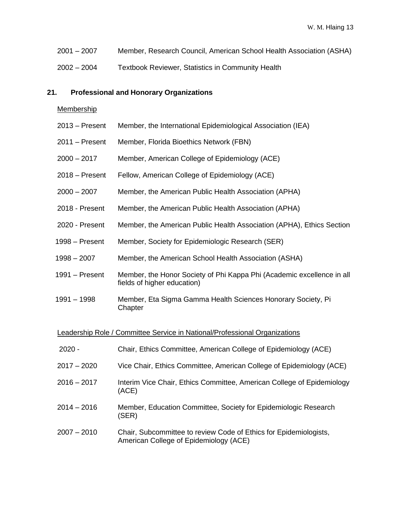- 2007 Member, Research Council, American School Health Association (ASHA)
- 2004 Textbook Reviewer, Statistics in Community Health

#### **21. Professional and Honorary Organizations**

#### Membership

- Present Member, the International Epidemiological Association (IEA)
- Present Member, Florida Bioethics Network (FBN)
- 2017 Member, American College of Epidemiology (ACE)
- Present Fellow, American College of Epidemiology (ACE)
- 2007 Member, the American Public Health Association (APHA)
- Present Member, the American Public Health Association (APHA)
- Present Member, the American Public Health Association (APHA), Ethics Section
- Present Member, Society for Epidemiologic Research (SER)
- 2007 Member, the American School Health Association (ASHA)
- Present Member, the Honor Society of Phi Kappa Phi (Academic excellence in all fields of higher education)
- 1998 Member, Eta Sigma Gamma Health Sciences Honorary Society, Pi **Chapter**

#### Leadership Role / Committee Service in National/Professional Organizations

| $2020 -$      | Chair, Ethics Committee, American College of Epidemiology (ACE)                                             |
|---------------|-------------------------------------------------------------------------------------------------------------|
| $2017 - 2020$ | Vice Chair, Ethics Committee, American College of Epidemiology (ACE)                                        |
| $2016 - 2017$ | Interim Vice Chair, Ethics Committee, American College of Epidemiology<br>(ACE)                             |
| $2014 - 2016$ | Member, Education Committee, Society for Epidemiologic Research<br>(SER)                                    |
| $2007 - 2010$ | Chair, Subcommittee to review Code of Ethics for Epidemiologists,<br>American College of Epidemiology (ACE) |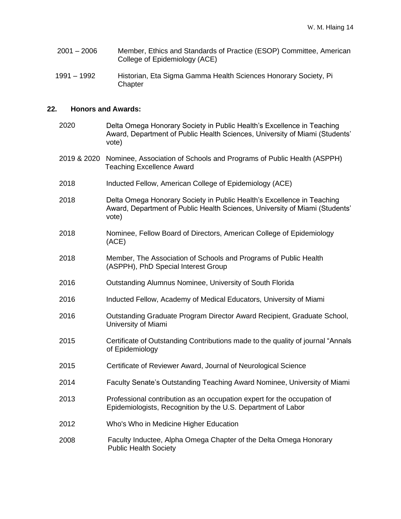- 2001 2006 Member, Ethics and Standards of Practice (ESOP) Committee, American College of Epidemiology (ACE)
- 1991 1992 Historian, Eta Sigma Gamma Health Sciences Honorary Society, Pi **Chapter**

#### **22. Honors and Awards:**

2020 Delta Omega Honorary Society in Public Health's Excellence in Teaching Award, Department of Public Health Sciences, University of Miami (Students' vote) 2019 & 2020 Nominee, Association of Schools and Programs of Public Health (ASPPH) Teaching Excellence Award 2018 Inducted Fellow, American College of Epidemiology (ACE) 2018 Delta Omega Honorary Society in Public Health's Excellence in Teaching Award, Department of Public Health Sciences, University of Miami (Students' vote) 2018 Nominee, Fellow Board of Directors, American College of Epidemiology (ACE) 2018 Member, The Association of Schools and Programs of Public Health (ASPPH), PhD Special Interest Group 2016 Outstanding Alumnus Nominee, University of South Florida 2016 Inducted Fellow, Academy of Medical Educators, University of Miami 2016 Outstanding Graduate Program Director Award Recipient, Graduate School, University of Miami 2015 Certificate of Outstanding Contributions made to the quality of journal "Annals of Epidemiology 2015 Certificate of Reviewer Award, Journal of Neurological Science 2014 Faculty Senate's Outstanding Teaching Award Nominee, University of Miami 2013 Professional contribution as an occupation expert for the occupation of Epidemiologists, Recognition by the U.S. Department of Labor 2012 Who's Who in Medicine Higher Education 2008 Faculty Inductee, Alpha Omega Chapter of the Delta Omega Honorary Public Health Society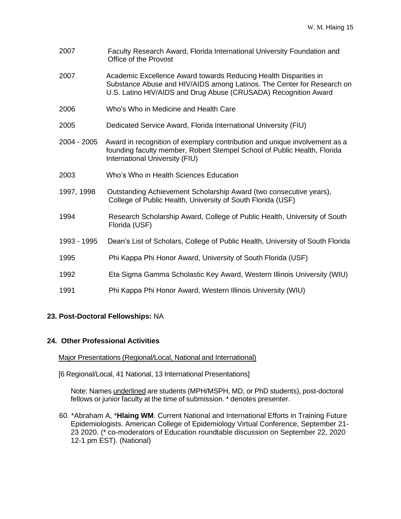- 2007 Faculty Research Award, Florida International University Foundation and Office of the Provost
- 2007 Academic Excellence Award towards Reducing Health Disparities in Substance Abuse and HIV/AIDS among Latinos. The Center for Research on U.S. Latino HIV/AIDS and Drug Abuse (CRUSADA) Recognition Award
- 2006 Who's Who in Medicine and Health Care
- 2005 Dedicated Service Award, Florida International University (FIU)
- 2004 2005 Award in recognition of exemplary contribution and unique involvement as a founding faculty member, Robert Stempel School of Public Health, Florida International University (FIU)
- 2003 Who's Who in Health Sciences Education
- 1997, 1998 Outstanding Achievement Scholarship Award (two consecutive years), College of Public Health, University of South Florida (USF)
- 1994 Research Scholarship Award, College of Public Health, University of South Florida (USF)
- 1993 1995 Dean's List of Scholars, College of Public Health, University of South Florida
- 1995 Phi Kappa Phi Honor Award, University of South Florida (USF)
- 1992 Eta Sigma Gamma Scholastic Key Award, Western Illinois University (WIU)
- 1991 Phi Kappa Phi Honor Award, Western Illinois University (WIU)

### **23. Post-Doctoral Fellowships:** NA

#### **24. Other Professional Activities**

Major Presentations (Regional/Local, National and International)

[6 Regional/Local, 41 National, 13 International Presentations]

Note: Names underlined are students (MPH/MSPH, MD, or PhD students), post-doctoral fellows or junior faculty at the time of submission. \* denotes presenter.

60. \*Abraham A, \***Hlaing WM**. Current National and International Efforts in Training Future Epidemiologists. American College of Epidemiology Virtual Conference, September 21- 23 2020. (\* co-moderators of Education roundtable discussion on September 22, 2020 12-1 pm EST). (National)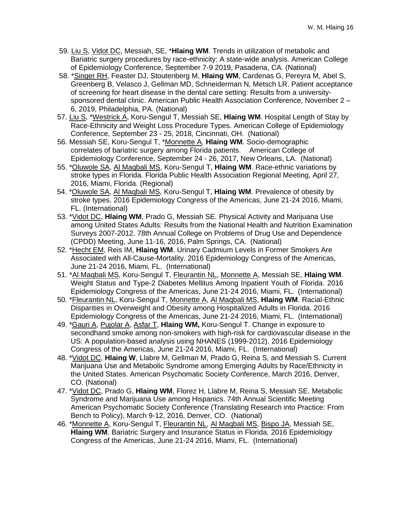- 59. Liu S, Vidot DC, Messiah, SE, \***Hlaing WM**. Trends in utilization of metabolic and Bariatric surgery procedures by race-ethnicity: A state-wide analysis. American College of Epidemiology Conference, September 7-9 2019, Pasadena, CA. (National)
- 58. \*Singer RH, Feaster DJ, Stoutenberg M, **Hlaing WM**, Cardenas G, Pereyra M, Abel S, Greenberg B, Velasco J, Gellman MD, Schneiderman N, Metsch LR. Patient acceptance of screening for heart disease in the dental care setting: Results from a universitysponsored dental clinic. American Public Health Association Conference, November 2 – 6, 2019, Philadelphia, PA. (National)
- 57. Liu S, \*Westrick A, Koru-Sengul T, Messiah SE, **Hlaing WM**. Hospital Length of Stay by Race-Ethnicity and Weight Loss Procedure Types. American College of Epidemiology Conference, September 23 - 25, 2018, Cincinnati, OH. (National)
- 56. Messiah SE, Koru-Sengul T, \*Monnette A, **Hlaing WM**. Socio-demographic correlates of bariatric surgery among Florida patients. American College of Epidemiology Conference, September 24 - 26, 2017, New Orleans, LA. (National)
- 55. \*Oluwole SA, Al Maqbali MS, Koru-Sengul T, **Hlaing WM**. Race-ethnic variations by stroke types in Florida. Florida Public Health Association Regional Meeting, April 27, 2016, Miami, Florida. (Regional)
- 54. \*Oluwole SA, Al Maqbali MS, Koru-Sengul T, **Hlaing WM**. Prevalence of obesity by stroke types. 2016 Epidemiology Congress of the Americas, June 21-24 2016, Miami, FL. (International)
- 53. \*Vidot DC, **Hlaing WM**, Prado G, Messiah SE. Physical Activity and Marijuana Use among United States Adults: Results from the National Health and Nutrition Examination Surveys 2007-2012. 78th Annual College on Problems of Drug Use and Dependence (CPDD) Meeting, June 11-16, 2016, Palm Springs, CA. (National)
- 52. \*Hecht EM, Reis IM, **Hlaing WM**. Urinary Cadmium Levels in Former Smokers Are Associated with All-Cause-Mortality. 2016 Epidemiology Congress of the Americas, June 21-24 2016, Miami, FL. (International)
- 51. \*Al Maqbali MS, Koru-Sengul T, Fleurantin NL, Monnette A, Messiah SE, **Hlaing WM**. Weight Status and Type-2 Diabetes Mellitus Among Inpatient Youth of Florida. 2016 Epidemiology Congress of the Americas, June 21-24 2016, Miami, FL. (International)
- 50. \*Fleurantin NL, Koru-Sengul T, Monnette A, Al Maqbali MS, **Hlaing WM**. Racial-Ethnic Disparities in Overweight and Obesity among Hospitalized Adults in Florida. 2016 Epidemiology Congress of the Americas, June 21-24 2016, Miami, FL. (International)
- 49. \*Gauri A, Pujolar A, Asfar T, **Hlaing WM,** Koru-Sengul T. Change in exposure to secondhand smoke among non-smokers with high-risk for cardiovascular disease in the US: A population-based analysis using NHANES (1999-2012). 2016 Epidemiology Congress of the Americas, June 21-24 2016, Miami, FL. (International)
- 48. \*Vidot DC, **Hlaing W**, Llabre M, Gellman M, Prado G, Reina S, and Messiah S. Current Marijuana Use and Metabolic Syndrome among Emerging Adults by Race/Ethnicity in the United States. American Psychomatic Society Conference, March 2016, Denver, CO. (National)
- 47. \*Vidot DC, Prado G, **Hlaing WM**, Florez H, Llabre M, Reina S, Messiah SE. Metabolic Syndrome and Marijuana Use among Hispanics. 74th Annual Scientific Meeting American Psychomatic Society Conference (Translating Research into Practice: From Bench to Policy), March 9-12, 2016, Denver, CO. (National)
- 46. \*Monnette A, Koru-Sengul T, Fleurantin NL, Al Maqbali MS, Bispo JA, Messiah SE, **Hlaing WM**. Bariatric Surgery and Insurance Status in Florida. 2016 Epidemiology Congress of the Americas, June 21-24 2016, Miami, FL. (International)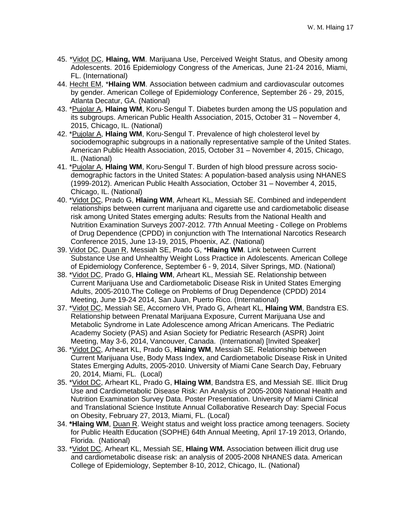- 45. \*Vidot DC, **Hlaing, WM**. Marijuana Use, Perceived Weight Status, and Obesity among Adolescents. 2016 Epidemiology Congress of the Americas, June 21-24 2016, Miami, FL. (International)
- 44. Hecht EM, \***Hlaing WM**. Association between cadmium and cardiovascular outcomes by gender. American College of Epidemiology Conference, September 26 - 29, 2015, Atlanta Decatur, GA. (National)
- 43. \*Pujolar A, **Hlaing WM**, Koru-Sengul T. Diabetes burden among the US population and its subgroups. American Public Health Association, 2015, October 31 – November 4, 2015, Chicago, IL. (National)
- 42. \*Pujolar A, **Hlaing WM**, Koru-Sengul T. Prevalence of high cholesterol level by sociodemographic subgroups in a nationally representative sample of the United States. American Public Health Association, 2015, October 31 – November 4, 2015, Chicago, IL. (National)
- 41. \*Pujolar A, **Hlaing WM**, Koru-Sengul T. Burden of high blood pressure across sociodemographic factors in the United States: A population-based analysis using NHANES (1999-2012). American Public Health Association, October 31 – November 4, 2015, Chicago, IL. (National)
- 40. \*Vidot DC, Prado G, **Hlaing WM**, Arheart KL, Messiah SE. Combined and independent relationships between current marijuana and cigarette use and cardiometabolic disease risk among United States emerging adults: Results from the National Health and Nutrition Examination Surveys 2007-2012. 77th Annual Meeting - College on Problems of Drug Dependence (CPDD) in conjunction with The International Narcotics Research Conference 2015, June 13-19, 2015, Phoenix, AZ. (National)
- 39. Vidot DC, Duan R, Messiah SE, Prado G, \***Hlaing WM**. Link between Current Substance Use and Unhealthy Weight Loss Practice in Adolescents. American College of Epidemiology Conference, September 6 - 9, 2014, Silver Springs, MD. (National)
- 38. \*Vidot DC, Prado G, **Hlaing WM**, Arheart KL, Messiah SE. Relationship between Current Marijuana Use and Cardiometabolic Disease Risk in United States Emerging Adults, 2005-2010.The College on Problems of Drug Dependence (CPDD) 2014 Meeting, June 19-24 2014, San Juan, Puerto Rico. (International)
- 37. \*Vidot DC, Messiah SE, Accornero VH, Prado G, Arheart KL, **Hlaing WM**, Bandstra ES. Relationship between Prenatal Marijuana Exposure, Current Marijuana Use and Metabolic Syndrome in Late Adolescence among African Americans. The Pediatric Academy Society (PAS) and Asian Society for Pediatric Research (ASPR) Joint Meeting, May 3-6, 2014, Vancouver, Canada. (International) [Invited Speaker]
- 36. \*Vidot DC, Arheart KL, Prado G, **Hlaing WM**, Messiah SE. Relationship between Current Marijuana Use, Body Mass Index, and Cardiometabolic Disease Risk in United States Emerging Adults, 2005-2010. University of Miami Cane Search Day, February 20, 2014, Miami, FL. (Local)
- 35. \*Vidot DC, Arheart KL, Prado G, **Hlaing WM**, Bandstra ES, and Messiah SE. Illicit Drug Use and Cardiometabolic Disease Risk: An Analysis of 2005-2008 National Health and Nutrition Examination Survey Data. Poster Presentation. University of Miami Clinical and Translational Science Institute Annual Collaborative Research Day: Special Focus on Obesity, February 27, 2013, Miami, FL. (Local)
- 34. **\*Hlaing WM**, Duan R. Weight status and weight loss practice among teenagers. Society for Public Health Education (SOPHE) 64th Annual Meeting, April 17-19 2013, Orlando, Florida. (National)
- 33. \*Vidot DC, Arheart KL, Messiah SE, **Hlaing WM.** Association between illicit drug use and cardiometabolic disease risk: an analysis of 2005-2008 NHANES data. American College of Epidemiology, September 8-10, 2012, Chicago, IL. (National)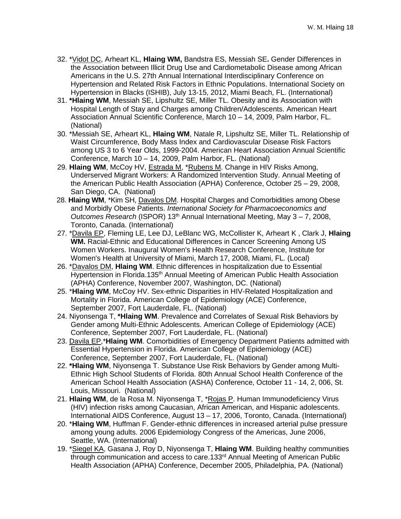- 32. \*Vidot DC, Arheart KL, **Hlaing WM,** Bandstra ES, Messiah SE**.** Gender Differences in the Association between Illicit Drug Use and Cardiometabolic Disease among African Americans in the U.S. 27th Annual International Interdisciplinary Conference on Hypertension and Related Risk Factors in Ethnic Populations. International Society on Hypertension in Blacks (ISHIB), July 13-15, 2012, Miami Beach, FL. (International)
- 31. **\*Hlaing WM**, Messiah SE, Lipshultz SE, Miller TL. Obesity and its Association with Hospital Length of Stay and Charges among Children/Adolescents. American Heart Association Annual Scientific Conference, March 10 – 14, 2009, Palm Harbor, FL. (National)
- 30. \*Messiah SE, Arheart KL, **Hlaing WM**, Natale R, Lipshultz SE, Miller TL. Relationship of Waist Circumference, Body Mass Index and Cardiovascular Disease Risk Factors among US 3 to 6 Year Olds, 1999-2004. American Heart Association Annual Scientific Conference, March 10 – 14, 2009, Palm Harbor, FL. (National)
- 29. **Hlaing WM**, McCoy HV, Estrada M, \*Rubens M. Change in HIV Risks Among, Underserved Migrant Workers: A Randomized Intervention Study. Annual Meeting of the American Public Health Association (APHA) Conference, October 25 – 29, 2008, San Diego, CA. (National)
- 28. **Hlaing WM**, \*Kim SH, Davalos DM. Hospital Charges and Comorbidities among Obese and Morbidly Obese Patients. *International Society for Pharmacoeconomics and Outcomes Research* (ISPOR) 13th Annual International Meeting, May 3 – 7, 2008, Toronto, Canada. (International)
- 27. \*Davila EP, Fleming LE, Lee DJ, LeBlanc WG, McCollister K, Arheart K , Clark J, **Hlaing WM.** Racial-Ethnic and Educational Differences in Cancer Screening Among US Women Workers. Inaugural Women's Health Research Conference, Institute for Women's Health at University of Miami, March 17, 2008, Miami, FL. (Local)
- 26. \*Davalos DM, **Hlaing WM**. Ethnic differences in hospitalization due to Essential Hypertension in Florida.135<sup>th</sup> Annual Meeting of American Public Health Association (APHA) Conference, November 2007, Washington, DC. (National)
- 25. \***Hlaing WM**, McCoy HV. Sex-ethnic Disparities in HIV-Related Hospitalization and Mortality in Florida. American College of Epidemiology (ACE) Conference, September 2007, Fort Lauderdale, FL. (National)
- 24. Niyonsenga T, **\*Hlaing WM**. Prevalence and Correlates of Sexual Risk Behaviors by Gender among Multi-Ethnic Adolescents. American College of Epidemiology (ACE) Conference, September 2007, Fort Lauderdale, FL. (National)
- 23. Davila EP,\***Hlaing WM**. Comorbidities of Emergency Department Patients admitted with Essential Hypertension in Florida. American College of Epidemiology (ACE) Conference, September 2007, Fort Lauderdale, FL. (National)
- 22. **\*Hlaing WM**, Niyonsenga T. Substance Use Risk Behaviors by Gender among Multi-Ethnic High School Students of Florida. 80th Annual School Health Conference of the American School Health Association (ASHA) Conference, October 11 - 14, 2, 006, St. Louis, Missouri. (National)
- 21. **Hlaing WM**, de la Rosa M. Niyonsenga T, \*Rojas P. Human Immunodeficiency Virus (HIV) infection risks among Caucasian, African American, and Hispanic adolescents. International AIDS Conference, August 13 – 17, 2006, Toronto, Canada. (International)
- 20. \***Hlaing WM**, Huffman F. Gender-ethnic differences in increased arterial pulse pressure among young adults. 2006 Epidemiology Congress of the Americas, June 2006, Seattle, WA. (International)
- 19. \*Siegel KA, Gasana J, Roy D, Niyonsenga T, **Hlaing WM**. Building healthy communities through communication and access to care.133<sup>rd</sup> Annual Meeting of American Public Health Association (APHA) Conference, December 2005, Philadelphia, PA. (National)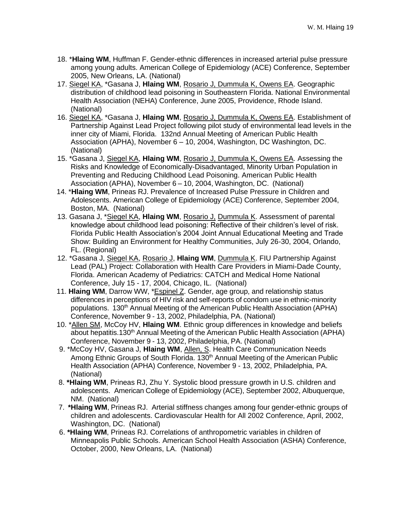- 18. \***Hlaing WM**, Huffman F. Gender-ethnic differences in increased arterial pulse pressure among young adults. American College of Epidemiology (ACE) Conference, September 2005, New Orleans, LA. (National)
- 17. Siegel KA, \*Gasana J, **Hlaing WM**, Rosario J, Dummula K, Owens EA. Geographic distribution of childhood lead poisoning in Southeastern Florida. National Environmental Health Association (NEHA) Conference, June 2005, Providence, Rhode Island. (National)
- 16. Siegel KA, \*Gasana J, **Hlaing WM**, Rosario J, Dummula K, Owens EA. Establishment of Partnership Against Lead Project following pilot study of environmental lead levels in the inner city of Miami, Florida. 132nd Annual Meeting of American Public Health Association (APHA), November 6 – 10, 2004, Washington, DC Washington, DC. (National)
- 15. \*Gasana J, Siegel KA, **Hlaing WM**, Rosario J, Dummula K, Owens EA. Assessing the Risks and Knowledge of Economically-Disadvantaged, Minority Urban Population in Preventing and Reducing Childhood Lead Poisoning. American Public Health Association (APHA), November 6 – 10, 2004, Washington, DC. (National)
- 14. \***Hlaing WM**, Prineas RJ. Prevalence of Increased Pulse Pressure in Children and Adolescents. American College of Epidemiology (ACE) Conference, September 2004, Boston, MA. (National)
- 13. Gasana J, \*Siegel KA, **Hlaing WM**, Rosario J, Dummula K. Assessment of parental knowledge about childhood lead poisoning: Reflective of their children's level of risk. Florida Public Health Association's 2004 Joint Annual Educational Meeting and Trade Show: Building an Environment for Healthy Communities, July 26-30, 2004, Orlando, FL. (Regional)
- 12. \*Gasana J, Siegel KA, Rosario J, **Hlaing WM**, Dummula K. FIU Partnership Against Lead (PAL) Project: Collaboration with Health Care Providers in Miami-Dade County, Florida. American Academy of Pediatrics: CATCH and Medical Home National Conference, July 15 - 17, 2004, Chicago, IL. (National)
- 11. **Hlaing WM**, Darrow WW, \*Espinel Z. Gender, age group, and relationship status differences in perceptions of HIV risk and self-reports of condom use in ethnic-minority populations. 130<sup>th</sup> Annual Meeting of the American Public Health Association (APHA) Conference, November 9 - 13, 2002, Philadelphia, PA. (National)
- 10. \*Allen SM, McCoy HV, **Hlaing WM**. Ethnic group differences in knowledge and beliefs about hepatitis.130<sup>th</sup> Annual Meeting of the American Public Health Association (APHA) Conference, November 9 - 13, 2002, Philadelphia, PA. (National)
- 9. \*McCoy HV, Gasana J, Hlaing WM, Allen, S. Health Care Communication Needs Among Ethnic Groups of South Florida. 130th Annual Meeting of the American Public Health Association (APHA) Conference, November 9 - 13, 2002, Philadelphia, PA. (National)
- 8. **\*Hlaing WM**, Prineas RJ, Zhu Y. Systolic blood pressure growth in U.S. children and adolescents. American College of Epidemiology (ACE), September 2002, Albuquerque, NM. (National)
- 7. **\*Hlaing WM**, Prineas RJ. Arterial stiffness changes among four gender-ethnic groups of children and adolescents. Cardiovascular Health for All 2002 Conference, April, 2002, Washington, DC. (National)
- 6. **\*Hlaing WM**, Prineas RJ. Correlations of anthropometric variables in children of Minneapolis Public Schools. American School Health Association (ASHA) Conference, October, 2000, New Orleans, LA. (National)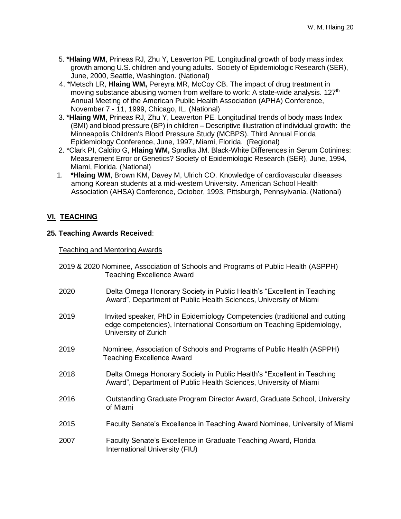- 5. **\*Hlaing WM**, Prineas RJ, Zhu Y, Leaverton PE. Longitudinal growth of body mass index growth among U.S. children and young adults. Society of Epidemiologic Research (SER), June, 2000, Seattle, Washington. (National)
- 4. \*Metsch LR, **Hlaing WM,** Pereyra MR, McCoy CB. The impact of drug treatment in moving substance abusing women from welfare to work: A state-wide analysis. 127<sup>th</sup> Annual Meeting of the American Public Health Association (APHA) Conference, November 7 - 11, 1999, Chicago, IL. (National)
- 3. **\*Hlaing WM**, Prineas RJ, Zhu Y, Leaverton PE. Longitudinal trends of body mass Index (BMI) and blood pressure (BP) in children – Descriptive illustration of individual growth: the Minneapolis Children's Blood Pressure Study (MCBPS). Third Annual Florida Epidemiology Conference, June, 1997, Miami, Florida. (Regional)
- 2. \*Clark PI, Caldito G, **Hlaing WM,** Sprafka JM. Black-White Differences in Serum Cotinines: Measurement Error or Genetics? Society of Epidemiologic Research (SER), June, 1994, Miami, Florida. (National)
- 1. **\*Hlaing WM**, Brown KM, Davey M, Ulrich CO. Knowledge of cardiovascular diseases among Korean students at a mid-western University. American School Health Association (AHSA) Conference, October, 1993, Pittsburgh, Pennsylvania. (National)

# **VI. TEACHING**

# **25. Teaching Awards Received**:

### Teaching and Mentoring Awards

- 2019 & 2020 Nominee, Association of Schools and Programs of Public Health (ASPPH) Teaching Excellence Award
- 2020 Delta Omega Honorary Society in Public Health's "Excellent in Teaching Award", Department of Public Health Sciences, University of Miami
- 2019 Invited speaker, PhD in Epidemiology Competencies (traditional and cutting edge competencies), International Consortium on Teaching Epidemiology, University of Zurich
- 2019 Nominee, Association of Schools and Programs of Public Health (ASPPH) Teaching Excellence Award
- 2018 Delta Omega Honorary Society in Public Health's "Excellent in Teaching Award", Department of Public Health Sciences, University of Miami
- 2016 Outstanding Graduate Program Director Award, Graduate School, University of Miami
- 2015 Faculty Senate's Excellence in Teaching Award Nominee, University of Miami
- 2007 Faculty Senate's Excellence in Graduate Teaching Award, Florida International University (FIU)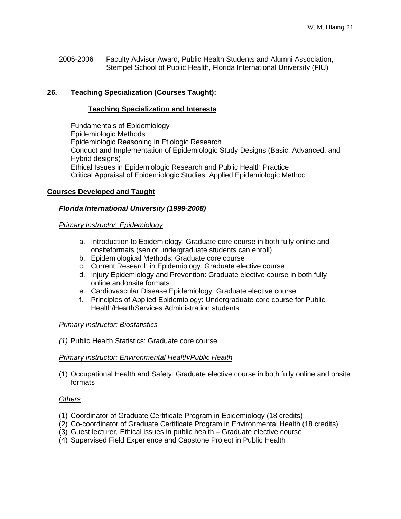2005-2006 Faculty Advisor Award, Public Health Students and Alumni Association, Stempel School of Public Health, Florida International University (FIU)

# **26. Teaching Specialization (Courses Taught):**

#### **Teaching Specialization and Interests**

Fundamentals of Epidemiology Epidemiologic Methods Epidemiologic Reasoning in Etiologic Research Conduct and Implementation of Epidemiologic Study Designs (Basic, Advanced, and Hybrid designs) Ethical Issues in Epidemiologic Research and Public Health Practice Critical Appraisal of Epidemiologic Studies: Applied Epidemiologic Method

### **Courses Developed and Taught**

#### *Florida International University (1999-2008)*

#### *Primary Instructor: Epidemiology*

- a. Introduction to Epidemiology: Graduate core course in both fully online and onsiteformats (senior undergraduate students can enroll)
- b. Epidemiological Methods: Graduate core course
- c. Current Research in Epidemiology: Graduate elective course
- d. Injury Epidemiology and Prevention: Graduate elective course in both fully online andonsite formats
- e. Cardiovascular Disease Epidemiology: Graduate elective course
- f. Principles of Applied Epidemiology: Undergraduate core course for Public Health/HealthServices Administration students

#### *Primary Instructor: Biostatistics*

*(1)* Public Health Statistics: Graduate core course

#### *Primary Instructor: Environmental Health/Public Health*

(1) Occupational Health and Safety: Graduate elective course in both fully online and onsite formats

### *Others*

- (1) Coordinator of Graduate Certificate Program in Epidemiology (18 credits)
- (2) Co-coordinator of Graduate Certificate Program in Environmental Health (18 credits)
- (3) Guest lecturer, Ethical issues in public health Graduate elective course
- (4) Supervised Field Experience and Capstone Project in Public Health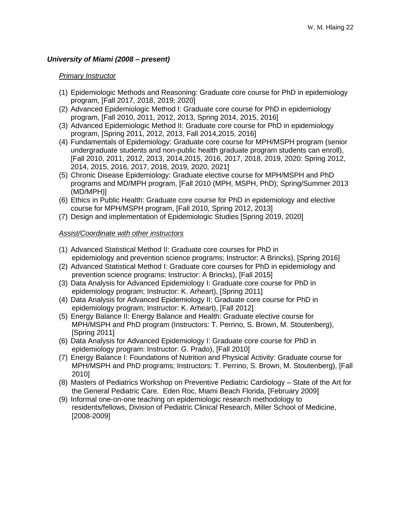# *University of Miami (2008 – present)*

#### *Primary Instructor*

- (1) Epidemiologic Methods and Reasoning: Graduate core course for PhD in epidemiology program, [Fall 2017, 2018, 2019; 2020]
- (2) Advanced Epidemiologic Method I: Graduate core course for PhD in epidemiology program, [Fall 2010, 2011, 2012, 2013, Spring 2014, 2015, 2016]
- (3) Advanced Epidemiologic Method II: Graduate core course for PhD in epidemiology program, [Spring 2011, 2012, 2013, Fall 2014,2015, 2016]
- (4) Fundamentals of Epidemiology: Graduate core course for MPH/MSPH program (senior undergraduate students and non-public health graduate program students can enroll), [Fall 2010, 2011, 2012, 2013, 2014,2015, 2016, 2017, 2018, 2019, 2020: Spring 2012, 2014, 2015, 2016, 2017, 2018, 2019, 2020, 2021]
- (5) Chronic Disease Epidemiology: Graduate elective course for MPH/MSPH and PhD programs and MD/MPH program, [Fall 2010 (MPH, MSPH, PhD); Spring/Summer 2013 (MD/MPH)]
- (6) Ethics in Public Health: Graduate core course for PhD in epidemiology and elective course for MPH/MSPH program, [Fall 2010, Spring 2012, 2013]
- (7) Design and implementation of Epidemiologic Studies [Spring 2019, 2020]

#### *Assist/Coordinate with other instructors*

- (1) Advanced Statistical Method II: Graduate core courses for PhD in epidemiology and prevention science programs; Instructor: A Brincks), [Spring 2016]
- (2) Advanced Statistical Method I: Graduate core courses for PhD in epidemiology and prevention science programs; Instructor: A Brincks), [Fall 2015]
- (3) Data Analysis for Advanced Epidemiology I: Graduate core course for PhD in epidemiology program; Instructor: K. Arheart), [Spring 2011]
- (4) Data Analysis for Advanced Epidemiology II: Graduate core course for PhD in epidemiology program; Instructor: K. Arheart), [Fall 2012]
- (5) Energy Balance II: Energy Balance and Health: Graduate elective course for MPH/MSPH and PhD program (Instructors: T. Perrino, S. Brown, M. Stoutenberg), [Spring 2011]
- (6) Data Analysis for Advanced Epidemiology I: Graduate core course for PhD in epidemiology program: Instructor: G. Prado), [Fall 2010]
- (7) Energy Balance I: Foundations of Nutrition and Physical Activity: Graduate course for MPH/MSPH and PhD programs; Instructors: T. Perrino, S. Brown, M. Stoutenberg), [Fall 2010]
- (8) Masters of Pediatrics Workshop on Preventive Pediatric Cardiology State of the Art for the General Pediatric Care. Eden Roc, Miami Beach Florida, [February 2009]
- (9) Informal one-on-one teaching on epidemiologic research methodology to residents/fellows, Division of Pediatric Clinical Research, Miller School of Medicine, [2008-2009]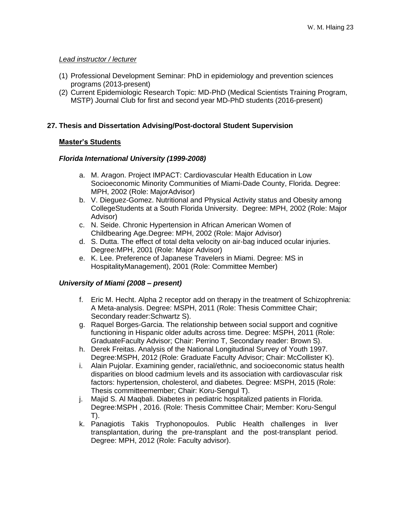# *Lead instructor / lecturer*

- (1) Professional Development Seminar: PhD in epidemiology and prevention sciences programs (2013-present)
- (2) Current Epidemiologic Research Topic: MD-PhD (Medical Scientists Training Program, MSTP) Journal Club for first and second year MD-PhD students (2016-present)

# **27. Thesis and Dissertation Advising/Post-doctoral Student Supervision**

# **Master's Students**

# *Florida International University (1999-2008)*

- a. M. Aragon. Project IMPACT: Cardiovascular Health Education in Low Socioeconomic Minority Communities of Miami-Dade County, Florida. Degree: MPH, 2002 (Role: MajorAdvisor)
- b. V. Dieguez-Gomez. Nutritional and Physical Activity status and Obesity among CollegeStudents at a South Florida University. Degree: MPH, 2002 (Role: Major Advisor)
- c. N. Seide. Chronic Hypertension in African American Women of Childbearing Age.Degree: MPH, 2002 (Role: Major Advisor)
- d. S. Dutta. The effect of total delta velocity on air-bag induced ocular injuries. Degree:MPH, 2001 (Role: Major Advisor)
- e. K. Lee. Preference of Japanese Travelers in Miami. Degree: MS in HospitalityManagement), 2001 (Role: Committee Member)

# *University of Miami (2008 – present)*

- f. Eric M. Hecht. Alpha 2 receptor add on therapy in the treatment of Schizophrenia: A Meta-analysis. Degree: MSPH, 2011 (Role: Thesis Committee Chair; Secondary reader:Schwartz S).
- g. Raquel Borges-Garcia. The relationship between social support and cognitive functioning in Hispanic older adults across time. Degree: MSPH, 2011 (Role: GraduateFaculty Advisor; Chair: Perrino T, Secondary reader: Brown S).
- h. Derek Freitas. Analysis of the National Longitudinal Survey of Youth 1997. Degree:MSPH, 2012 (Role: Graduate Faculty Advisor; Chair: McCollister K).
- i. Alain Pujolar. Examining gender, racial/ethnic, and socioeconomic status health disparities on blood cadmium levels and its association with cardiovascular risk factors: hypertension, cholesterol, and diabetes. Degree: MSPH, 2015 (Role: Thesis committeemember; Chair: Koru-Sengul T).
- j. Majid S. Al Maqbali. Diabetes in pediatric hospitalized patients in Florida. Degree:MSPH , 2016. (Role: Thesis Committee Chair; Member: Koru-Sengul T).
- k. Panagiotis Takis Tryphonopoulos. Public Health challenges in liver transplantation, during the pre-transplant and the post-transplant period. Degree: MPH, 2012 (Role: Faculty advisor).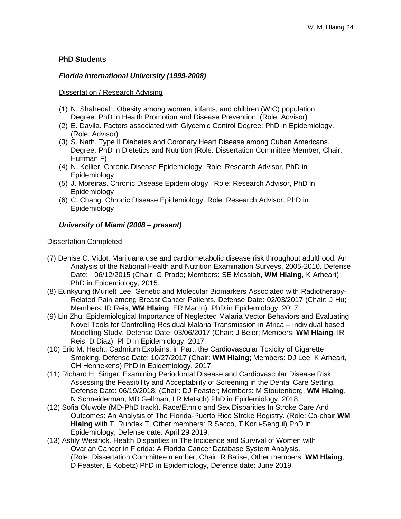## **PhD Students**

### *Florida International University (1999-2008)*

#### Dissertation / Research Advising

- (1) N. Shahedah. Obesity among women, infants, and children (WIC) population Degree: PhD in Health Promotion and Disease Prevention. (Role: Advisor)
- (2) E. Davila. Factors associated with Glycemic Control Degree: PhD in Epidemiology. (Role: Advisor)
- (3) S. Nath. Type II Diabetes and Coronary Heart Disease among Cuban Americans. Degree: PhD in Dietetics and Nutrition (Role: Dissertation Committee Member, Chair: Huffman F)
- (4) N. Kellier. Chronic Disease Epidemiology. Role: Research Advisor, PhD in Epidemiology
- (5) J. Moreiras. Chronic Disease Epidemiology. Role: Research Advisor, PhD in Epidemiology
- (6) C. Chang. Chronic Disease Epidemiology. Role: Research Advisor, PhD in Epidemiology

#### *University of Miami (2008 – present)*

#### Dissertation Completed

- (7) Denise C. Vidot. Marijuana use and cardiometabolic disease risk throughout adulthood: An Analysis of the National Health and Nutrition Examination Surveys, 2005-2010. Defense Date: 06/12/2015 (Chair: G Prado; Members: SE Messiah, **WM Hlaing**, K Arheart) PhD in Epidemiology, 2015.
- (8) Eunkyung (Muriel) Lee. Genetic and Molecular Biomarkers Associated with Radiotherapy-Related Pain among Breast Cancer Patients. Defense Date: 02/03/2017 (Chair: J Hu; Members: IR Reis, **WM Hlaing**, ER Martin) PhD in Epidemiology, 2017.
- (9) Lin Zhu: Epidemiological Importance of Neglected Malaria Vector Behaviors and Evaluating Novel Tools for Controlling Residual Malaria Transmission in Africa – Individual based Modelling Study. Defense Date: 03/06/2017 (Chair: J Beier; Members: **WM Hlaing**, IR Reis, D Diaz) PhD in Epidemiology, 2017.
- (10) Eric M. Hecht. Cadmium Explains, in Part, the Cardiovascular Toxicity of Cigarette Smoking. Defense Date: 10/27/2017 (Chair: **WM Hlaing**; Members: DJ Lee, K Arheart, CH Hennekens) PhD in Epidemiology, 2017.
- (11) Richard H. Singer. Examining Periodontal Disease and Cardiovascular Disease Risk: Assessing the Feasibility and Acceptability of Screening in the Dental Care Setting. Defense Date: 06/19/2018. (Chair: DJ Feaster; Members: M Stoutenberg, **WM Hlaing**, N Schneiderman, MD Gellman, LR Metsch) PhD in Epidemiology, 2018.
- (12) Sofia Oluwole (MD-PhD track). Race/Ethnic and Sex Disparities In Stroke Care And Outcomes: An Analysis of The Florida-Puerto Rico Stroke Registry. (Role: Co-chair **WM Hlaing** with T. Rundek T, Other members: R Sacco, T Koru-Sengul) PhD in Epidemiology, Defense date: April 29 2019.
- (13) Ashly Westrick. Health Disparities in The Incidence and Survival of Women with Ovarian Cancer in Florida: A Florida Cancer Database System Analysis. (Role: Dissertation Committee member, Chair: R Balise, Other members: **WM Hlaing**, D Feaster, E Kobetz) PhD in Epidemiology, Defense date: June 2019.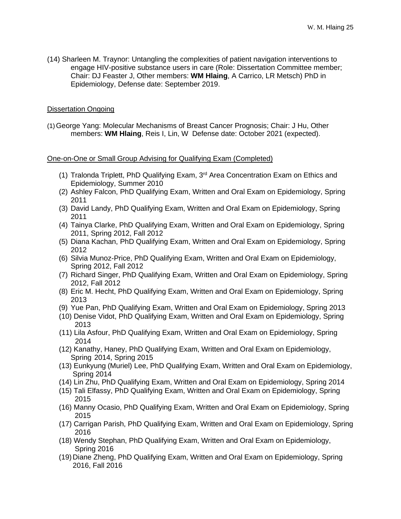(14) Sharleen M. Traynor: Untangling the complexities of patient navigation interventions to engage HIV-positive substance users in care (Role: Dissertation Committee member; Chair: DJ Feaster J, Other members: **WM Hlaing**, A Carrico, LR Metsch) PhD in Epidemiology, Defense date: September 2019.

#### Dissertation Ongoing

(1)George Yang: Molecular Mechanisms of Breast Cancer Prognosis; Chair: J Hu, Other members: **WM Hlaing**, Reis I, Lin, W Defense date: October 2021 (expected).

#### One-on-One or Small Group Advising for Qualifying Exam (Completed)

- (1) Tralonda Triplett, PhD Qualifying Exam,  $3<sup>rd</sup>$  Area Concentration Exam on Ethics and Epidemiology, Summer 2010
- (2) Ashley Falcon, PhD Qualifying Exam, Written and Oral Exam on Epidemiology, Spring 2011
- (3) David Landy, PhD Qualifying Exam, Written and Oral Exam on Epidemiology, Spring 2011
- (4) Tainya Clarke, PhD Qualifying Exam, Written and Oral Exam on Epidemiology, Spring 2011, Spring 2012, Fall 2012
- (5) Diana Kachan, PhD Qualifying Exam, Written and Oral Exam on Epidemiology, Spring 2012
- (6) Silvia Munoz-Price, PhD Qualifying Exam, Written and Oral Exam on Epidemiology, Spring 2012, Fall 2012
- (7) Richard Singer, PhD Qualifying Exam, Written and Oral Exam on Epidemiology, Spring 2012, Fall 2012
- (8) Eric M. Hecht, PhD Qualifying Exam, Written and Oral Exam on Epidemiology, Spring 2013
- (9) Yue Pan, PhD Qualifying Exam, Written and Oral Exam on Epidemiology, Spring 2013
- (10) Denise Vidot, PhD Qualifying Exam, Written and Oral Exam on Epidemiology, Spring 2013
- (11) Lila Asfour, PhD Qualifying Exam, Written and Oral Exam on Epidemiology, Spring 2014
- (12) Kanathy, Haney, PhD Qualifying Exam, Written and Oral Exam on Epidemiology, Spring 2014, Spring 2015
- (13) Eunkyung (Muriel) Lee, PhD Qualifying Exam, Written and Oral Exam on Epidemiology, Spring 2014
- (14) Lin Zhu, PhD Qualifying Exam, Written and Oral Exam on Epidemiology, Spring 2014
- (15) Tali Elfassy, PhD Qualifying Exam, Written and Oral Exam on Epidemiology, Spring 2015
- (16) Manny Ocasio, PhD Qualifying Exam, Written and Oral Exam on Epidemiology, Spring 2015
- (17) Carrigan Parish, PhD Qualifying Exam, Written and Oral Exam on Epidemiology, Spring 2016
- (18) Wendy Stephan, PhD Qualifying Exam, Written and Oral Exam on Epidemiology, Spring 2016
- (19) Diane Zheng, PhD Qualifying Exam, Written and Oral Exam on Epidemiology, Spring 2016, Fall 2016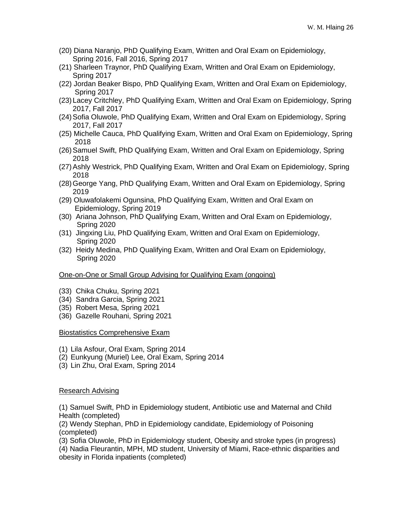- (20) Diana Naranjo, PhD Qualifying Exam, Written and Oral Exam on Epidemiology, Spring 2016, Fall 2016, Spring 2017
- (21) Sharleen Traynor, PhD Qualifying Exam, Written and Oral Exam on Epidemiology, Spring 2017
- (22) Jordan Beaker Bispo, PhD Qualifying Exam, Written and Oral Exam on Epidemiology, Spring 2017
- (23) Lacey Critchley, PhD Qualifying Exam, Written and Oral Exam on Epidemiology, Spring 2017, Fall 2017
- (24)Sofia Oluwole, PhD Qualifying Exam, Written and Oral Exam on Epidemiology, Spring 2017, Fall 2017
- (25) Michelle Cauca, PhD Qualifying Exam, Written and Oral Exam on Epidemiology, Spring 2018
- (26)Samuel Swift, PhD Qualifying Exam, Written and Oral Exam on Epidemiology, Spring 2018
- (27)Ashly Westrick, PhD Qualifying Exam, Written and Oral Exam on Epidemiology, Spring 2018
- (28)George Yang, PhD Qualifying Exam, Written and Oral Exam on Epidemiology, Spring 2019
- (29) Oluwafolakemi Ogunsina, PhD Qualifying Exam, Written and Oral Exam on Epidemiology, Spring 2019
- (30) Ariana Johnson, PhD Qualifying Exam, Written and Oral Exam on Epidemiology, Spring 2020
- (31) Jingxing Liu, PhD Qualifying Exam, Written and Oral Exam on Epidemiology, Spring 2020
- (32) Heidy Medina, PhD Qualifying Exam, Written and Oral Exam on Epidemiology, Spring 2020

#### One-on-One or Small Group Advising for Qualifying Exam (ongoing)

- (33) Chika Chuku, Spring 2021
- (34) Sandra Garcia, Spring 2021
- (35) Robert Mesa, Spring 2021
- (36) Gazelle Rouhani, Spring 2021

#### Biostatistics Comprehensive Exam

- (1) Lila Asfour, Oral Exam, Spring 2014
- (2) Eunkyung (Muriel) Lee, Oral Exam, Spring 2014
- (3) Lin Zhu, Oral Exam, Spring 2014

#### Research Advising

(1) Samuel Swift, PhD in Epidemiology student, Antibiotic use and Maternal and Child Health (completed)

(2) Wendy Stephan, PhD in Epidemiology candidate, Epidemiology of Poisoning (completed)

(3) Sofia Oluwole, PhD in Epidemiology student, Obesity and stroke types (in progress)

(4) Nadia Fleurantin, MPH, MD student, University of Miami, Race-ethnic disparities and obesity in Florida inpatients (completed)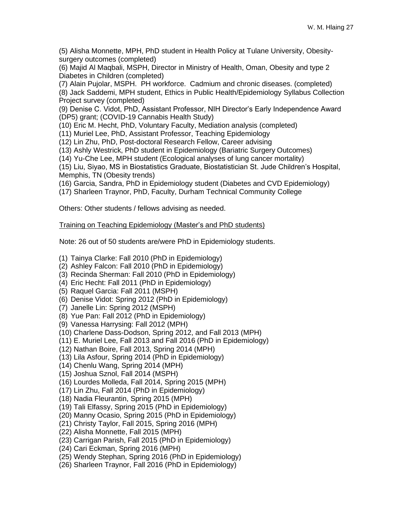(5) Alisha Monnette, MPH, PhD student in Health Policy at Tulane University, Obesitysurgery outcomes (completed)

(6) Majid Al Maqbali, MSPH, Director in Ministry of Health, Oman, Obesity and type 2 Diabetes in Children (completed)

(7) Alain Pujolar, MSPH. PH workforce. Cadmium and chronic diseases. (completed)

(8) Jack Saddemi, MPH student, Ethics in Public Health/Epidemiology Syllabus Collection Project survey (completed)

(9) Denise C. Vidot, PhD, Assistant Professor, NIH Director's Early Independence Award (DP5) grant; (COVID-19 Cannabis Health Study)

(10) Eric M. Hecht, PhD, Voluntary Faculty, Mediation analysis (completed)

(11) Muriel Lee, PhD, Assistant Professor, Teaching Epidemiology

(12) Lin Zhu, PhD, Post-doctoral Research Fellow, Career advising

(13) Ashly Westrick, PhD student in Epidemiology (Bariatric Surgery Outcomes)

(14) Yu-Che Lee, MPH student (Ecological analyses of lung cancer mortality)

(15) Liu, Siyao, MS in Biostatistics Graduate, Biostatistician St. Jude Children's Hospital, Memphis, TN (Obesity trends)

(16) Garcia, Sandra, PhD in Epidemiology student (Diabetes and CVD Epidemiology)

(17) Sharleen Traynor, PhD, Faculty, Durham Technical Community College

Others: Other students / fellows advising as needed.

# Training on Teaching Epidemiology (Master's and PhD students)

Note: 26 out of 50 students are/were PhD in Epidemiology students.

(1) Tainya Clarke: Fall 2010 (PhD in Epidemiology)

- (2) Ashley Falcon: Fall 2010 (PhD in Epidemiology)
- (3) Recinda Sherman: Fall 2010 (PhD in Epidemiology)
- (4) Eric Hecht: Fall 2011 (PhD in Epidemiology)
- (5) Raquel Garcia: Fall 2011 (MSPH)
- (6) Denise Vidot: Spring 2012 (PhD in Epidemiology)
- (7) Janelle Lin: Spring 2012 (MSPH)
- (8) Yue Pan: Fall 2012 (PhD in Epidemiology)
- (9) Vanessa Harrysing: Fall 2012 (MPH)
- (10) Charlene Dass-Dodson, Spring 2012, and Fall 2013 (MPH)
- (11) E. Muriel Lee, Fall 2013 and Fall 2016 (PhD in Epidemiology)
- (12) Nathan Boire, Fall 2013, Spring 2014 (MPH)
- (13) Lila Asfour, Spring 2014 (PhD in Epidemiology)
- (14) Chenlu Wang, Spring 2014 (MPH)
- (15) Joshua Sznol, Fall 2014 (MSPH)
- (16) Lourdes Molleda, Fall 2014, Spring 2015 (MPH)
- (17) Lin Zhu, Fall 2014 (PhD in Epidemiology)
- (18) Nadia Fleurantin, Spring 2015 (MPH)
- (19) Tali Elfassy, Spring 2015 (PhD in Epidemiology)
- (20) Manny Ocasio, Spring 2015 (PhD in Epidemiology)
- (21) Christy Taylor, Fall 2015, Spring 2016 (MPH)
- (22) Alisha Monnette, Fall 2015 (MPH)
- (23) Carrigan Parish, Fall 2015 (PhD in Epidemiology)
- (24) Cari Eckman, Spring 2016 (MPH)
- (25) Wendy Stephan, Spring 2016 (PhD in Epidemiology)
- (26) Sharleen Traynor, Fall 2016 (PhD in Epidemiology)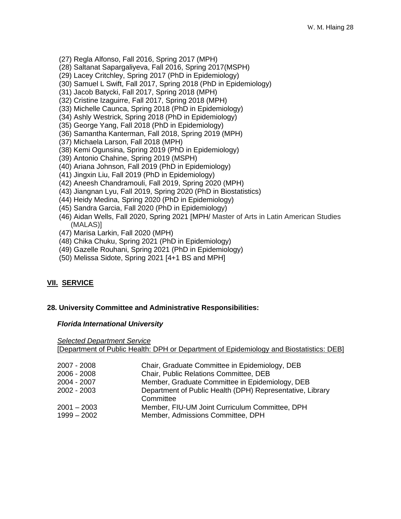- (27) Regla Alfonso, Fall 2016, Spring 2017 (MPH)
- (28) Saltanat Sapargaliyeva, Fall 2016, Spring 2017(MSPH)
- (29) Lacey Critchley, Spring 2017 (PhD in Epidemiology)
- (30) Samuel L Swift, Fall 2017, Spring 2018 (PhD in Epidemiology)
- (31) Jacob Batycki, Fall 2017, Spring 2018 (MPH)
- (32) Cristine Izaguirre, Fall 2017, Spring 2018 (MPH)
- (33) Michelle Caunca, Spring 2018 (PhD in Epidemiology)
- (34) Ashly Westrick, Spring 2018 (PhD in Epidemiology)
- (35) George Yang, Fall 2018 (PhD in Epidemiology)
- (36) Samantha Kanterman, Fall 2018, Spring 2019 (MPH)
- (37) Michaela Larson, Fall 2018 (MPH)
- (38) Kemi Ogunsina, Spring 2019 (PhD in Epidemiology)
- (39) Antonio Chahine, Spring 2019 (MSPH)
- (40) Ariana Johnson, Fall 2019 (PhD in Epidemiology)
- (41) Jingxin Liu, Fall 2019 (PhD in Epidemiology)
- (42) Aneesh Chandramouli, Fall 2019, Spring 2020 (MPH)
- (43) Jiangnan Lyu, Fall 2019, Spring 2020 (PhD in Biostatistics)
- (44) Heidy Medina, Spring 2020 (PhD in Epidemiology)
- (45) Sandra Garcia, Fall 2020 (PhD in Epidemiology)
- (46) Aidan Wells, Fall 2020, Spring 2021 [MPH/ Master of Arts in Latin American Studies (MALAS)]
- (47) Marisa Larkin, Fall 2020 (MPH)
- (48) Chika Chuku, Spring 2021 (PhD in Epidemiology)
- (49) Gazelle Rouhani, Spring 2021 (PhD in Epidemiology)
- (50) Melissa Sidote, Spring 2021 [4+1 BS and MPH]

# **VII. SERVICE**

#### **28. University Committee and Administrative Responsibilities:**

#### *Florida International University*

| <b>Selected Department Service</b> |                                                                                         |
|------------------------------------|-----------------------------------------------------------------------------------------|
|                                    | [Department of Public Health: DPH or Department of Epidemiology and Biostatistics: DEB] |
|                                    |                                                                                         |
| 2007 - 2008                        | Chair, Graduate Committee in Epidemiology, DEB                                          |
| 2006 - 2008                        | Chair, Public Relations Committee, DEB                                                  |
| 2004 - 2007                        | Member, Graduate Committee in Epidemiology, DEB                                         |
| 2002 - 2003                        | Department of Public Health (DPH) Representative, Library                               |
|                                    | Committee                                                                               |
| 2001 – 2003                        | Member, FIU-UM Joint Curriculum Committee, DPH                                          |
| $1999 - 2002$                      | Member, Admissions Committee, DPH                                                       |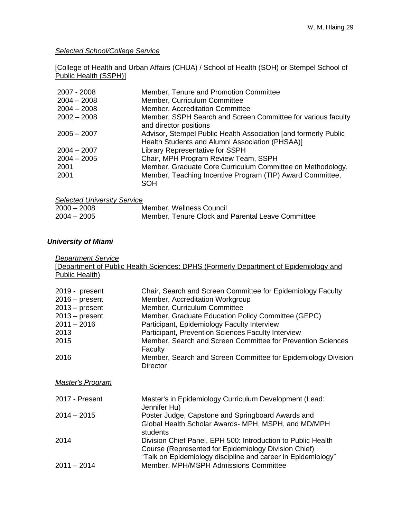*Selected School/College Service*

# [College of Health and Urban Affairs (CHUA) / School of Health (SOH) or Stempel School of Public Health (SSPH)]

| 2007 - 2008   | Member, Tenure and Promotion Committee                                                                             |
|---------------|--------------------------------------------------------------------------------------------------------------------|
| $2004 - 2008$ | Member, Curriculum Committee                                                                                       |
| $2004 - 2008$ | Member, Accreditation Committee                                                                                    |
| $2002 - 2008$ | Member, SSPH Search and Screen Committee for various faculty<br>and director positions                             |
| $2005 - 2007$ | Advisor, Stempel Public Health Association [and formerly Public<br>Health Students and Alumni Association (PHSAA)] |
| $2004 - 2007$ | <b>Library Representative for SSPH</b>                                                                             |
| $2004 - 2005$ | Chair, MPH Program Review Team, SSPH                                                                               |
| 2001          | Member, Graduate Core Curriculum Committee on Methodology,                                                         |
| 2001          | Member, Teaching Incentive Program (TIP) Award Committee,<br><b>SOH</b>                                            |

| <b>Selected University Service</b> |                                                   |
|------------------------------------|---------------------------------------------------|
| $2000 - 2008$                      | Member, Wellness Council                          |
| $2004 - 2005$                      | Member, Tenure Clock and Parental Leave Committee |

# *University of Miami*

| <b>Department Service</b><br>Public Health) | [Department of Public Health Sciences: DPHS (Formerly Department of Epidemiology and                                 |
|---------------------------------------------|----------------------------------------------------------------------------------------------------------------------|
|                                             |                                                                                                                      |
| 2019 - present                              | Chair, Search and Screen Committee for Epidemiology Faculty                                                          |
| $2016 - present$                            | Member, Accreditation Workgroup                                                                                      |
| $2013 - present$<br>$2013 - present$        | Member, Curriculum Committee<br>Member, Graduate Education Policy Committee (GEPC)                                   |
| $2011 - 2016$                               | Participant, Epidemiology Faculty Interview                                                                          |
| 2013                                        | Participant, Prevention Sciences Faculty Interview                                                                   |
| 2015                                        | Member, Search and Screen Committee for Prevention Sciences                                                          |
|                                             | Faculty                                                                                                              |
| 2016                                        | Member, Search and Screen Committee for Epidemiology Division<br><b>Director</b>                                     |
| <b>Master's Program</b>                     |                                                                                                                      |
| 2017 - Present                              | Master's in Epidemiology Curriculum Development (Lead:<br>Jennifer Hu)                                               |
| $2014 - 2015$                               | Poster Judge, Capstone and Springboard Awards and<br>Global Health Scholar Awards- MPH, MSPH, and MD/MPH             |
|                                             | students                                                                                                             |
| 2014                                        | Division Chief Panel, EPH 500: Introduction to Public Health<br>Course (Represented for Epidemiology Division Chief) |
|                                             | "Talk on Epidemiology discipline and career in Epidemiology"                                                         |
| $2011 - 2014$                               | Member, MPH/MSPH Admissions Committee                                                                                |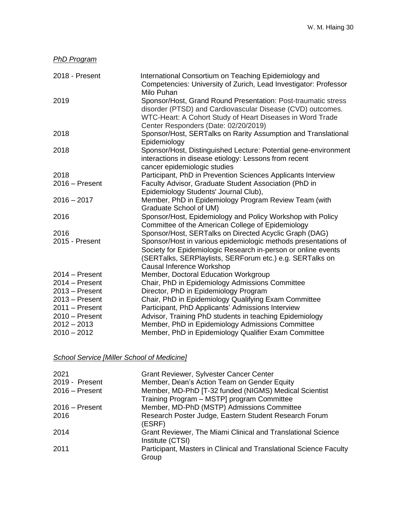| <b>PhD Program</b> |                                                                                                                                                                                                                                  |
|--------------------|----------------------------------------------------------------------------------------------------------------------------------------------------------------------------------------------------------------------------------|
| 2018 - Present     | International Consortium on Teaching Epidemiology and<br>Competencies: University of Zurich, Lead Investigator: Professor<br>Milo Puhan                                                                                          |
| 2019               | Sponsor/Host, Grand Round Presentation: Post-traumatic stress<br>disorder (PTSD) and Cardiovascular Disease (CVD) outcomes.<br>WTC-Heart: A Cohort Study of Heart Diseases in Word Trade<br>Center Responders (Date: 02/20/2019) |
| 2018               | Sponsor/Host, SERTalks on Rarity Assumption and Translational<br>Epidemiology                                                                                                                                                    |
| 2018               | Sponsor/Host, Distinguished Lecture: Potential gene-environment<br>interactions in disease etiology: Lessons from recent<br>cancer epidemiologic studies                                                                         |
| 2018               | Participant, PhD in Prevention Sciences Applicants Interview                                                                                                                                                                     |
| $2016 -$ Present   | Faculty Advisor, Graduate Student Association (PhD in<br>Epidemiology Students' Journal Club),                                                                                                                                   |
| $2016 - 2017$      | Member, PhD in Epidemiology Program Review Team (with<br>Graduate School of UM)                                                                                                                                                  |
| 2016               | Sponsor/Host, Epidemiology and Policy Workshop with Policy<br>Committee of the American College of Epidemiology                                                                                                                  |
| 2016               | Sponsor/Host, SERTalks on Directed Acyclic Graph (DAG)                                                                                                                                                                           |
| 2015 - Present     | Sponsor/Host in various epidemiologic methods presentations of<br>Society for Epidemiologic Research in-person or online events<br>(SERTalks, SERPlaylists, SERForum etc.) e.g. SERTalks on<br>Causal Inference Workshop         |
| $2014 -$ Present   | Member, Doctoral Education Workgroup                                                                                                                                                                                             |
| $2014 -$ Present   | Chair, PhD in Epidemiology Admissions Committee                                                                                                                                                                                  |
| $2013 -$ Present   | Director, PhD in Epidemiology Program                                                                                                                                                                                            |
| $2013 -$ Present   | Chair, PhD in Epidemiology Qualifying Exam Committee                                                                                                                                                                             |
| $2011 -$ Present   | Participant, PhD Applicants' Admissions Interview                                                                                                                                                                                |
| $2010 -$ Present   | Advisor, Training PhD students in teaching Epidemiology                                                                                                                                                                          |
| $2012 - 2013$      | Member, PhD in Epidemiology Admissions Committee                                                                                                                                                                                 |
| $2010 - 2012$      | Member, PhD in Epidemiology Qualifier Exam Committee                                                                                                                                                                             |

*School Service [Miller School of Medicine]*

| 2021             | Grant Reviewer, Sylvester Cancer Center                                          |
|------------------|----------------------------------------------------------------------------------|
| 2019 - Present   | Member, Dean's Action Team on Gender Equity                                      |
| $2016 -$ Present | Member, MD-PhD [T-32 funded (NIGMS) Medical Scientist                            |
|                  | Training Program - MSTP] program Committee                                       |
| $2016 -$ Present | Member, MD-PhD (MSTP) Admissions Committee                                       |
| 2016             | Research Poster Judge, Eastern Student Research Forum<br>(ESRF)                  |
| 2014             | Grant Reviewer, The Miami Clinical and Translational Science<br>Institute (CTSI) |
| 2011             | Participant, Masters in Clinical and Translational Science Faculty<br>Group      |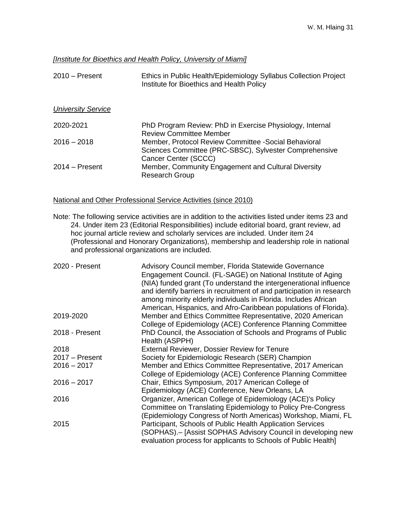#### *[Institute for Bioethics and Health Policy, University of Miami]*

| $2010 -$ Present          | Ethics in Public Health/Epidemiology Syllabus Collection Project<br>Institute for Bioethics and Health Policy                           |
|---------------------------|-----------------------------------------------------------------------------------------------------------------------------------------|
| <b>University Service</b> |                                                                                                                                         |
| 2020-2021                 | PhD Program Review: PhD in Exercise Physiology, Internal<br><b>Review Committee Member</b>                                              |
| $2016 - 2018$             | Member, Protocol Review Committee - Social Behavioral<br>Sciences Committee (PRC-SBSC), Sylvester Comprehensive<br>Cancer Center (SCCC) |
| $2014 -$ Present          | Member, Community Engagement and Cultural Diversity<br><b>Research Group</b>                                                            |

#### National and Other Professional Service Activities (since 2010)

Note: The following service activities are in addition to the activities listed under items 23 and 24. Under item 23 (Editorial Responsibilities) include editorial board, grant review, ad hoc journal article review and scholarly services are included. Under item 24 (Professional and Honorary Organizations), membership and leadership role in national and professional organizations are included.

| 2020 - Present   | Advisory Council member, Florida Statewide Governance                 |
|------------------|-----------------------------------------------------------------------|
|                  | Engagement Council. (FL-SAGE) on National Institute of Aging          |
|                  | (NIA) funded grant (To understand the intergenerational influence     |
|                  | and identify barriers in recruitment of and participation in research |
|                  | among minority elderly individuals in Florida. Includes African       |
|                  | American, Hispanics, and Afro-Caribbean populations of Florida).      |
| 2019-2020        | Member and Ethics Committee Representative, 2020 American             |
|                  | College of Epidemiology (ACE) Conference Planning Committee           |
| 2018 - Present   | PhD Council, the Association of Schools and Programs of Public        |
|                  | Health (ASPPH)                                                        |
| 2018             | External Reviewer, Dossier Review for Tenure                          |
| $2017 -$ Present | Society for Epidemiologic Research (SER) Champion                     |
| $2016 - 2017$    | Member and Ethics Committee Representative, 2017 American             |
|                  | College of Epidemiology (ACE) Conference Planning Committee           |
| $2016 - 2017$    | Chair, Ethics Symposium, 2017 American College of                     |
|                  | Epidemiology (ACE) Conference, New Orleans, LA                        |
| 2016             | Organizer, American College of Epidemiology (ACE)'s Policy            |
|                  | Committee on Translating Epidemiology to Policy Pre-Congress          |
|                  | (Epidemiology Congress of North Americas) Workshop, Miami, FL         |
| 2015             | Participant, Schools of Public Health Application Services            |
|                  | (SOPHAS).- [Assist SOPHAS Advisory Council in developing new          |
|                  | evaluation process for applicants to Schools of Public Health         |